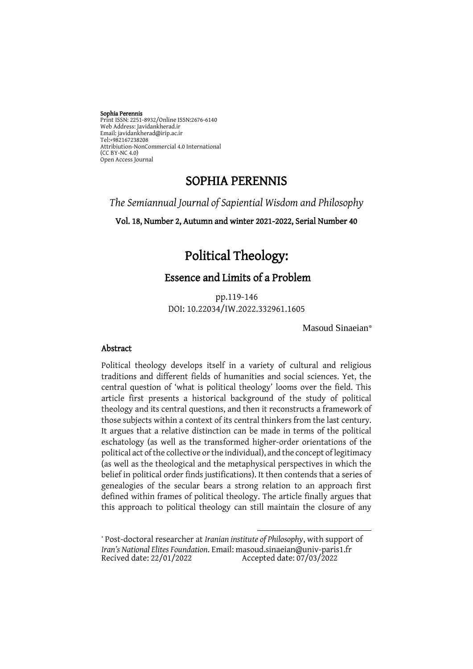#### Sophia Perennis

Print ISSN: 2251-8932/Online ISSN:2676-6140 Web Address: Javidankherad.ir Email[: javidankherad@irip.ac.ir](mailto:javidankherad@irip.ac.ir) [Tel:+982167238208](tel:+982167238208) Attribiution-NonCommercial 4.0 International (CC BY-NC 4.0) Open Access Journal

### SOPHIA PERENNIS

*The Semiannual Journal of Sapiential Wisdom and Philosophy*

Vol. 18, Number 2, Autumn and winter 2021-2022, Serial Number 40

# Political Theology:

### Essence and Limits of a Problem

pp.119-146 DOI: 10.22034/IW.2022.332961.1605

Masoud Sinaeian\*

#### Abstract

Political theology develops itself in a variety of cultural and religious traditions and different fields of humanities and social sciences. Yet, the central question of 'what is political theology' looms over the field. This article first presents a historical background of the study of political theology and its central questions, and then it reconstructs a framework of those subjects within a context of its central thinkers from the last century. It argues that a relative distinction can be made in terms of the political eschatology (as well as the transformed higher-order orientations of the political act of the collective or the individual), and the concept of legitimacy (as well as the theological and the metaphysical perspectives in which the belief in political order finds justifications). It then contends that a series of genealogies of the secular bears a strong relation to an approach first defined within frames of political theology. The article finally argues that this approach to political theology can still maintain the closure of any

\* Post-doctoral researcher at *Iranian institute of Philosophy*, with support of *Iran's National Elites Foundation*. Email[: masoud.sinaeian@univ-paris1.fr](mailto:masoud.sinaeian@univ-paris1.fr) Accepted date:  $07/03/2022$ 

**.**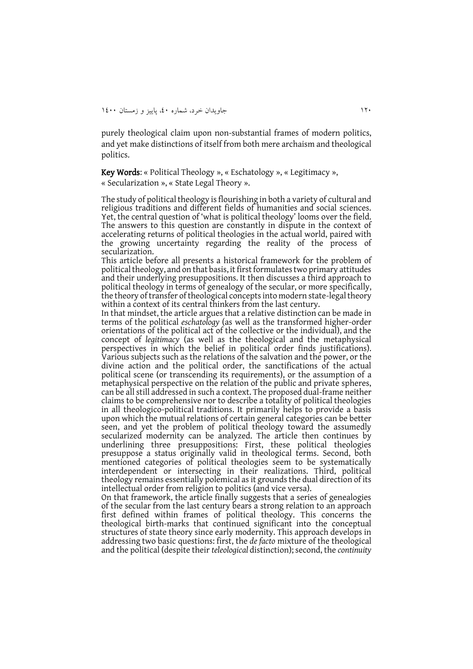purely theological claim upon non-substantial frames of modern politics, and yet make distinctions of itself from both mere archaism and theological politics.

Key Words: « Political Theology », « Eschatology », « Legitimacy », « Secularization », « State Legal Theory ».

The study of political theology is flourishing in both a variety of cultural and religious traditions and different fields of humanities and social sciences. Yet, the central question of 'what is political theology' looms over the field. The answers to this question are constantly in dispute in the context of accelerating returns of political theologies in the actual world, paired with the growing uncertainty regarding the reality of the process of secularization.

This article before all presents a historical framework for the problem of political theology, and on that basis, it first formulates two primary attitudes and their underlying presuppositions. It then discusses a third approach to political theology in terms of genealogy of the secular, or more specifically, the theory of transfer of theological concepts into modern state-legal theory within a context of its central thinkers from the last century.

In that mindset, the article argues that a relative distinction can be made in terms of the political *eschatology* (as well as the transformed higher-order orientations of the political act of the collective or the individual), and the concept of *legitimacy* (as well as the theological and the metaphysical perspectives in which the belief in political order finds justifications). Various subjects such as the relations of the salvation and the power, or the divine action and the political order, the sanctifications of the actual political scene (or transcending its requirements), or the assumption of a metaphysical perspective on the relation of the public and private spheres, can be all still addressed in such a context. The proposed dual-frame neither claims to be comprehensive nor to describe a totality of political theologies in all theologico-political traditions. It primarily helps to provide a basis upon which the mutual relations of certain general categories can be better seen, and yet the problem of political theology toward the assumedly secularized modernity can be analyzed. The article then continues by underlining three presuppositions: First, these political theologies presuppose a status originally valid in theological terms. Second, both mentioned categories of political theologies seem to be systematically interdependent or intersecting in their realizations. Third, political theology remains essentially polemical as it grounds the dual direction of its intellectual order from religion to politics (and vice versa).

On that framework, the article finally suggests that a series of genealogies of the secular from the last century bears a strong relation to an approach first defined within frames of political theology. This concerns the theological birth-marks that continued significant into the conceptual structures of state theory since early modernity. This approach develops in addressing two basic questions: first, the *de facto* mixture of the theological and the political (despite their *teleological* distinction); second, the *continuity*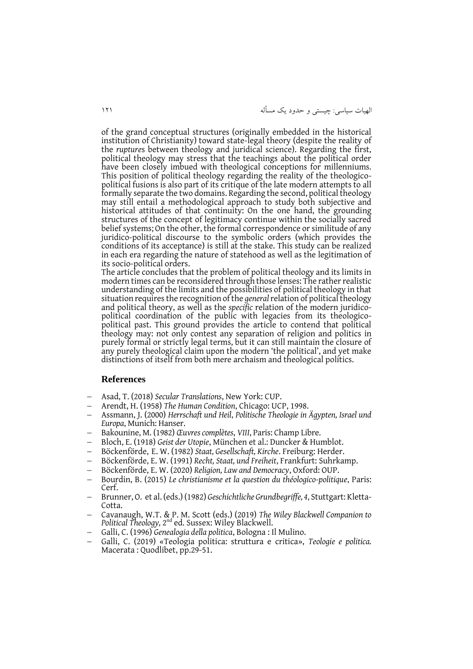الهیات سیاسی: چیستی و حدود يک مسأله 020

of the grand conceptual structures (originally embedded in the historical institution of Christianity) toward state-legal theory (despite the reality of the *rupture*s between theology and juridical science). Regarding the first, political theology may stress that the teachings about the political order have been closely imbued with theological conceptions for millenniums. This position of political theology regarding the reality of the theologicopolitical fusions is also part of its critique of the late modern attempts to all formally separate the two domains. Regarding the second, political theology may still entail a methodological approach to study both subjective and historical attitudes of that continuity: On the one hand, the grounding structures of the concept of legitimacy continue within the socially sacred belief systems; On the other, the formal correspondence or similitude of any juridico-political discourse to the symbolic orders (which provides the conditions of its acceptance) is still at the stake. This study can be realized in each era regarding the nature of statehood as well as the legitimation of its socio-political orders.

The article concludes that the problem of political theology and its limits in modern times can be reconsidered through those lenses: The rather realistic understanding of the limits and the possibilities of political theology in that situation requires the recognition of the *general*relation of political theology and political theory, as well as the *specific* relation of the modern juridicopolitical coordination of the public with legacies from its theologicopolitical past. This ground provides the article to contend that political theology may: not only contest any separation of religion and politics in purely formal or strictly legal terms, but it can still maintain the closure of any purely theological claim upon the modern 'the political', and yet make distinctions of itself from both mere archaism and theological politics.

#### **References**

- Asad, T. (2018) *Secular Translations*, New York: CUP.
- Arendt, H. (1958) *The Human Condition*, Chicago: UCP, 1998.
- Assmann, J. (2000) *Herrschaft und Heil*, *Politische Theologie in Ägypten, Israel und Europa*, Munich: Hanser.
- Bakounine, M. (1982) *Œuvres complètes*, *VIII*, Paris: Champ Libre.
- Bloch, E. (1918) *Geist der Utopie*, München et al.: Duncker & Humblot.
- Böckenförde, E. W. (1982) *Staat, Gesellschaft, Kirche*. Freiburg: Herder.
- Böckenförde, E. W. (1991) *Recht, Staat, und Freiheit*, Frankfurt: Suhrkamp.
- Böckenförde, E. W. (2020) *Religion, Law and Democracy*, Oxford: OUP.
- Bourdin, B. (2015) *Le christianisme et la question du théologico-politique*, Paris: Cerf.
- Brunner, O. et al. (eds.) (1982) *Geschichtliche Grundbegriffe, 4*, Stuttgart: Kletta-Cotta.
- Cavanaugh, W.T. & P. M. Scott (eds.) (2019) *The Wiley Blackwell Companion to*  Political Theology, 2<sup>nd</sup> ed. Sussex: Wiley Blackwell.
- Galli, C. (1996) *Genealogia della politica*, Bologna : Il Mulino.
- Galli, C. (2019) «Teologia politica: struttura e critica», *Teologie e politica.*  Macerata: Quodlibet, pp.29-51.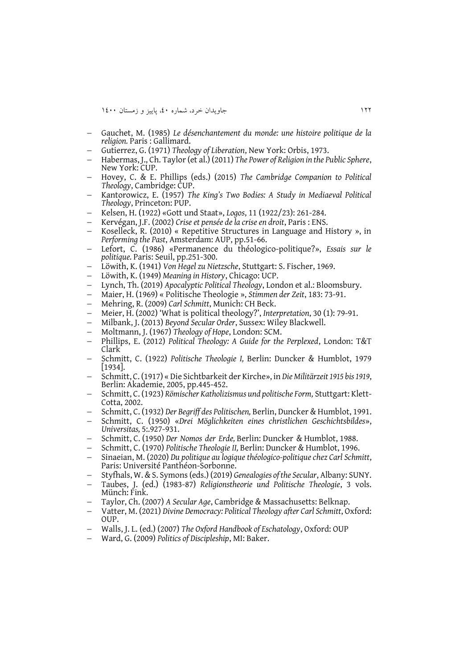- Gauchet, M. (1985) *Le désenchantement du monde: une histoire politique de la religion.* Paris : Gallimard.
- Gutierrez, G. (1971) *Theology of Liberation*, New York: Orbis, 1973.
- Habermas, J., Ch. Taylor (et al.) (2011) *The Power of Religion in the Public Sphere*, New York: CUP.
- Hovey, C. & E. Phillips (eds.) (2015) *The Cambridge Companion to Political Theology*, Cambridge: CUP.
- Kantorowicz, E. (1957) *The King's Two Bodies: A Study in Mediaeval Political Theology*, Princeton: PUP.
- Kelsen, H. (1922) «Gott und Staat», *Logos*, 11 (1922/23): 261-284.
- Kervégan, J.F. (2002) *Crise et pensée de la crise en droit*, Paris : ENS.
- Koselleck, R. (2010) « Repetitive Structures in Language and History », in *Performing the Past*, Amsterdam: AUP, pp.51-66.
- Lefort, C. (1986) «Permanence du théologico-politique?», *Essais sur le politique.* Paris: Seuil, pp.251-300.
- Löwith, K. (1941) *Von Hegel zu Nietzsche*, Stuttgart: S. Fischer, 1969.
- Löwith, K. (1949) *Meaning in History*, Chicago: UCP.
- Lynch, Th. (2019) *Apocalyptic Political Theology*, London et al.: Bloomsbury.
- Maier, H. (1969) « Politische Theologie », *Stimmen der Zeit*, 183: 73-91.
- Mehring, R. (2009) *Carl Schmitt*, Munich: CH Beck.
- Meier, H. (2002) 'What is political theology?', *Interpretation*, 30 (1): 79-91.
- Milbank, J. (2013) *Beyond Secular Order*, Sussex: Wiley Blackwell.
- Moltmann, J. (1967) *Theology of Hope*, London: SCM.
- Phillips, E. (2012) *Political Theology: A Guide for the Perplexed*, London: T&T Clark
- Schmitt, C. (1922) *Politische Theologie I,* Berlin: Duncker & Humblot, 1979  $|1934|$ .
- Schmitt, C. (1917) « Die Sichtbarkeit der Kirche», in *Die Militärzeit 1915 bis 1919*, Berlin: Akademie, 2005, pp.445-452.
- Schmitt, C. (1923) *Römischer Katholizismus und politische Form,* Stuttgart: Klett-Cotta, 2002.
- Schmitt, C. (1932) *Der Begriff des Politischen,* Berlin, Duncker & Humblot, 1991.
- Schmitt, C. (1950) «*Drei Möglichkeiten eines christlichen Geschichtsbildes*», *Universitas,* 5:.927-931.
- Schmitt, C. (1950) *Der Nomos der Erde,* Berlin: Duncker & Humblot, 1988.
- Schmitt, C. (1970) *Politische Theologie II,* Berlin: Duncker & Humblot, 1996.
- Sinaeian, M. (2020) *Du politique au logique théologico-politique chez Carl Schmitt*, Paris: Université Panthéon-Sorbonne.
- Styfhals, W. & S. Symons (eds.) (2019) *Genealogies of the Secular*, Albany: SUNY.
- Taubes, J. (ed.) (1983-87) *Religionstheorie und Politische Theologie*, 3 vols. Münch: Fink.
- Taylor, Ch. (2007) *A Secular Age*, Cambridge & Massachusetts: Belknap.
- Vatter, M. (2021) *Divine Democracy: Political Theology after Carl Schmitt*, Oxford: OUP.
- Walls, J. L. (ed.) (2007) *The Oxford Handbook of Eschatology*, Oxford: OUP
- Ward, G. (2009) *Politics of Discipleship*, MI: Baker.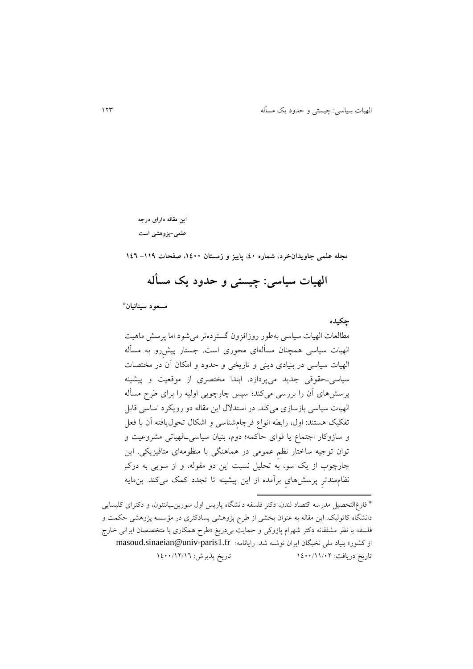الهیات سیاسی: چیستی و حدود يک مسأله 021

**این مقاله دارای درجه علمی-پژوهشی است**

**مجله علمی جاویدانخرد، شماره ،04 پاییز و زمستان ،0044 صفحات -001 001**

**الهیات سیاسی: چیستی و حدود یک مسأله**

 **مسعود سینائیان \***

**چکیده** مطالعات الهیات سیاسی بهطور روزافزون گستردهتر میشود اما پرسش ماهیت الهیات سیاسی همچنان مسألهای محوری است. جستار پیشِرو به مسأله الهیات سیاسی در بنیادی دينی و تاريخی و حدود و امکان آن در مختصات سیاسیـحقوقی جديد میپردازد. ابتدا مختصری از موقعیت و پیشینه پرسشهای آن را بررسی میکند؛ سپس چارچوبی اولیه را برای طرح مسأله الهیات سیاسی بازسازی میکند. در استدالل اين مقاله دو رويکرد اساسی قابل تفکیک هستند: اول، رابطه انواع فرجامشناسی و اشکال تحوليافته آن با فعل و سازوکار اجتماع يا قوای حاکمه؛ دوم، بنیان سیاسیـالهیاتی مشروعیت و توان توجیه ساختار نظمِ عمومی در هماهنگی با منظومهای متافیزيکی. اين چارچوب از يک سو، به تحلیل نسبت اين دو مقوله، و از سويی به درکِ نظاممندترِ پرسشهایِ برآمده از اين پیشینه تا تجدد کمک میکند. بنمايه

فارغالتحصیل مدرسه اقتصاد لندن، دکتر فلسفه دانشگاه پاريس اول سوربنـپانتئون، و دکترای کلیسايی \* دانشگاه کاتولیک. اين مقاله به عنوان بخشی از طرح پژوهشی پسادکتری در مؤسسه پژوهشی حکمت و فلسفه با نظر مشفقانه دکتر شهرام پازوکی و حمايت بیدريغ »طرح همکاری با متخصصان ايرانی خار ج ازکشور» بنیاد ملی نخبگان ایران نوشته شد. رایانامه: masoud.sinaeian@univ-paris1.fr تاريخ دريافت: 0011/00/12 تاريخ پذيرش: 0011/02/01

**.**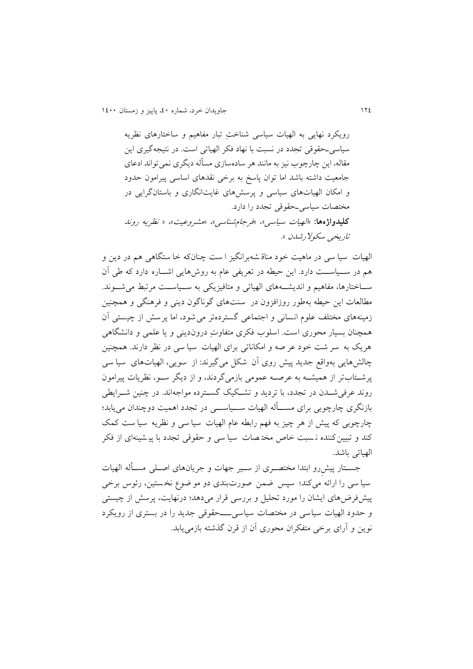رويکرد نهايی به الهیات سیاسی شناختِ تبار مفاهیم و ساختارهای نظريه سیاسیـحقوقی تجدد در نسبت با نهاد فکر الهیاتی است. در نتیجهگیری اين مقاله، اين چارچوب نیز به مانند هر سادهسازی مسأله ديگری نمیتواند ادعای جامعیت داشته باشد اما توان پاسخ به برخی نقدهای اساسی پیرامون حدود و امکان الهیاتهای سیاسی و پرسشهای غايتانگاری و باستانگرايی در مختصات سیاسیـحقوقی تجدد را دارد. **کلیدواژهها:** »الهیات سیاسی«، »فرجامشناسی«، »مشروعیت«، » نظريه روند تاريخي سکولارشدن ».

الهیات سیا سی در ماهیت خود مناق شه برانگیز ا ست چنانکه خا ستگاهی هم در دين و هم در ســیاســت دارد. اين حیطه در تعريفی عام به روش هايی اشــاره دارد که طی آن ســاختارها، مفاهیم و اندیشـــههای الهیاتی و متافیزیکی به ســیاســت مرتبط می شــوند. مطالعات اين حیطه بهطور روزافزون در سنت های گوناگون دينی و فرهنگی و همچنین زمینههای مختلف علوم انسانی و اجتماعی گسترده تر می شود، اما پر سش از چیستی آن همچنان بسیار محوری است. اسلوب فکری متفاوتِ درون دينی و يا علمی و دانشگاهی هريک به سر شت خود عر صه و امکاناتی برای الهیات سیا سی در نظر دارند. همچنین چالشهايی بهواقع جديد پیش روی آن شکل می گیرند: از سويی، الهیات های سیا سی پرشـتابتر از همیشـه به عرصـه عمومی بازمیگردند، و از ديگر سـو، نظريات پیرامون روند عرفیشـدن در تجدد، با ترديد و تشـکیک گسـترده مواجهاند. در چنین شـرايطی بازنگری چارچوبی برای مســأله الهیات ســیاســی در تجدد اهمیت دوچندان میيابد؛ چارچوبی که پیش از هر چیز به فهم رابطه عام الهیات سیا سی و نظريه سیا ست کمک کند و تبیین کننده ن سبت خاص مخت صات سیا سی و حقوقی تجدد با پیشینهای از فکر الهیاتی باشد.

جسـتار پیشِرو ابتدا مختصـری از سـیر جهات و جريانهای اصـلی مسـأله الهیات سیا سی را ارائه میکند؛ سپس ضمن صورت بندی دو مو ضوع نخ ستین، رئوس برخی پیشفرضهای ايشان را مورد تحلیل و بررسی قرار میدهد؛ درنهايت، پرسش از چیستی و حدود الهیات سیاسی در مختصات سیاس یــــحقوقی جديد را در بستر ی از رويکرد نوين و آرای برخی متفکران محوری آن از قرن گذشته بازمیيابد.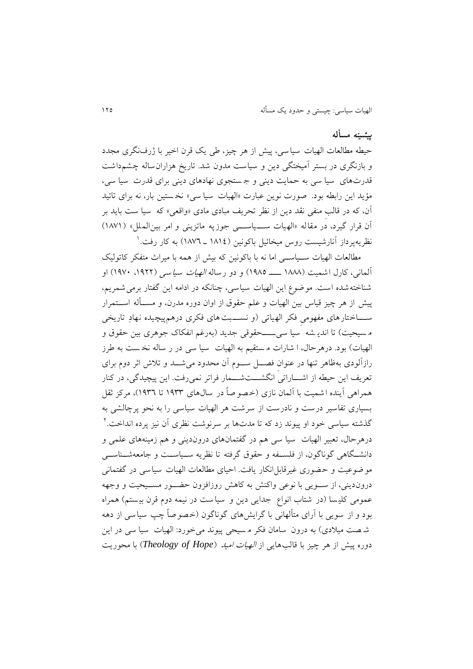#### **پیشینه مسأله**

حیطه مطالعات الهیات سیا سی ، پیش از هر چیز، طی يک قرن اخیر با ژرفنگری مجدد و بازنگری در بستر آمیختگی دين و سياست مدون شد. تاريخ هزاران ساله چشم داشت قدرتهای سیا سی به حمايت دينی و ج ستجوی نهادهای دينی برای قدرت سیا سی ، مؤيد اين رابطه بود. صورت نوين عبارت »الهیات سیا سی « نخ ستین بار، نه برای تائید آن، که در قالبِ منفی نقد دين از نظر تحريف مبادی مادی «واقعی» که سیا ست بايد بر آن قرار گیرد، در مقاله «الهیات ســـیاســـی جوزپه ماتزینی و امر بین الملل» (١٨٧١) نظریهپرداز آنارشیست روس میخائیل باکونین (١٨١٤ ـ ١٨٧٦) به کار رفت. <sup>(</sup>

مطالعات الهیات ســیاســی اما نه با باکونین که بیش از همه با میراف متفکر کاتولیک آلمانی، کارل اشمیت (۱۸۸۸ ــــــــ ۱۹۸۵) و دو رساله *الهیات سیاسی* (۱۹۲۲، ۱۹۷۰) او شناخته شده است. موضوع اين الهيات سياسي، چنانکه در ادامه اين گفتار برمي شمريم، پیش از هر چیز قیاس بین الهیات و علم حقوق از اوان دوره مدرن، و مســأله اســتمرار ســـاختارهای مفهومی فکر الهیاتی (و نســـبت های فکری درهمپیچیده نهادِ تاریخی م سیحیت) تا اندي شه سیا سی ـــــحقوقی جدید (بهرغم انفکاک جوهری بین حقوق و الهیات) بود. درهرحال، ا شارات م ستقیم به الهیات سیا سی در ر ساله نخ ست به طرز رازآلودی بهظاهر تنها در عنوان فصــل ســوم آن محدود می شـــد و تلاش اثر دوم برای تعريف اين حیطه از اشـــاراتی انگشـــتشـــمار فراتر نمیرفت. اين پیچیدگی، در کنار همراهی آينده ا شميت با آلمان نازی (خصو صاً در سال های ۱۹۳۳ تا ۱۹۳٦)، مرکز ثقل بسیاری تفاسیر درست و نادرست از سرشت هر الهیات سیاسی را به نحو پرچالش ی به 2 گذشته سیاسی خود او پیوند زد که تا مدتها بر سرنوشت نظری آن نیز پرده انداخت. درهرحال، تعبیر الهیات سیا سی هم در گفتمان های دروندينی و هم زمینههای علمی و دانشــگاهی گوناگون، از فلســفه و حقوق گرفته تا نظريه ســیاســت و جامعهشــناســی موضوعیت و حضوری غیرقابل انکار يافت. احیای مطالعات الهیات سیاسی در گفتمان ی دروندينی، از ســويی با نوعی واکنش به کاهش روزافزون حضــور مســیحیت و وجهه عمومی کلیسا (در شتاب انواع جدايی دين و سياست در نيمه دوم قرن بيستم) همراه بود و از سويی با آرای متألهانی با گرايش های گوناگون )خصوصاً چپ سیاسی از دهه شهت میلادی) به درون سامان فکر مسیحی پیوند می خورد: الهیات سیا سی در این دوره پیش از هر چیز با قالب هايی از الهیات امید )*Hope of Theology* )با محوري ت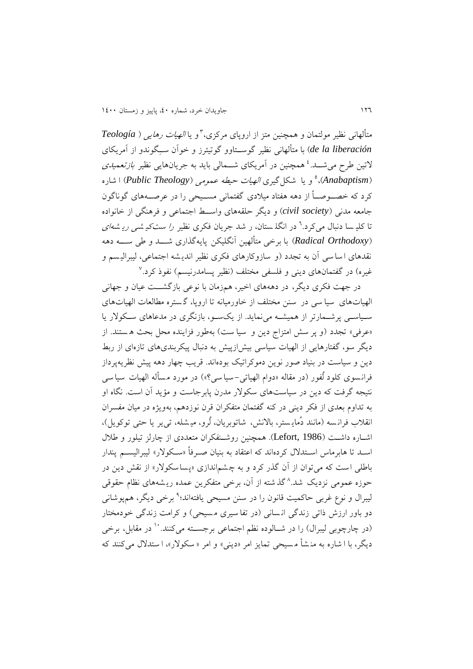و يا الهیات رهايی ) *Teología* <sup>1</sup> متألهانی نظیر مولتمان و همچنین متز از اروپای مرکزی، *liberación la de* )با متألهانی نظیر گوســتاوو گوتیئرز و خوآن ســِگوندو از آمريکای لاتین طرح میشـــد.<sup>، م</sup>همچنین در آمریکای شـــمالی باید به جریانهایی نظیر *بازتعمیدی* ،)*Anabaptism*( 1 و يا شکل گیری الهیات حیطه عمومی )*Theology Public* )ا شاره کرد که خصــوصـــاً از دهه هفتاد میلادی گفتمانی مســیحی را در عرصــههای گوناگون جامعه مدنی )*society civil* )و ديگر حلقههای واســ اجتماعی و فرهنگی از خانواده تا کلیے سا دنبال می کرد.<sup>٦</sup> در انگلـ ستان، ر شد جريان فکری نظیر *را ست کیـ شـی ريـ شـهای* )*Orthodoxy Radical* )با برخی متألهین آنگلیکن پايهگذاری شـــد و طی ســـه دهه نقدهای ا سا سی آن به تجدد )و سازوکارهای فکری نظیر اندي شه اجتماعی، لیبرالی سم و غیره) در گفتمانهای دینی و فلسفی مختلف (نظیر پسامدرنیسم) نفوذ کرد.<sup>۷</sup>

در جهت فکری ديگر، در دهههای اخیر، همزمان با نوعی بازگشــت عیان و جهانی الهیاتهای سیا سی در سنن مختلف از خاورمیانه تا اروپا، گ ستره مطالعات الهیاتهای سـیاسـی پرشـمارتر از همیشـه مینمايد. از يکسـو، بازنگری در مدعاهای سـکوالر يا «عرفي» تجدد (و پر سش امتزاج دين و سيا ست) بهطور فزاينده محل بحث هستند. از ديگر سو، گفتارهايی از الهیات سیاسی بیشازپیش به دنبال پیکربندیهای تازهای از رب دين و سیاست در بنیاد صور نوين دموکراتیک بودهاند. قريب چهار دهه پیش نظريهپرداز فرانسوی کلود لُفور (در مقاله «دوام الهیاتی-سیا سی؟») در مورد مسأله الهیات سیا سی نتیجه گرفت که دين در سیاست های سکوالر مدرن پابرجاست و مؤيد آن است. نگاه او به تداوم بعدی از فکر دينی در کنه گفتمان متفکران قرن نوزدهم، بهويژه در میان مفسران انقلاب فرانسه (مانند دُمايستر، بالانش، شاتوبريان، لُرو، میشله، تی ير يا حتی توکويل)، اشــاره داشــت (Lefort, 1986). همچنین روشــنفکران متعددی از چارلز تیلور و طلال اسـد تا هابرماس اسـتدالل کرده اند که اعتقاد به بنیان صـرفاً »سـکوالر « لیبرالیسـم پندار باطلی است که میتوان از آن گذر کرد و به چشم|ندازی «پساسکولار» از نقش دين در حوزه عمومی نزديک شد.^گذشته از آن، برخی متفکرين عمده ريشههای نظام حقوقی لیبرال و نوع غربی حاکمیت قانون را در سنن مسیحی یافتهاند؛<sup>۹</sup> برخی دیگر، همهپوشانی دو باور ارزش ذاتی زندگی انسانی (در تفا سیری مسیحی) و کرامت زندگی خودمختار (در چارچوبی لیبرال) را در شــالوده نظم اجتماعی برجســته میکنند. `` در مقابل، برخی ديگر، با ا شاره به من شأ م سیحی تمايز امر »دينی« و امر » سکوالر «، ا ستدالل می کنند که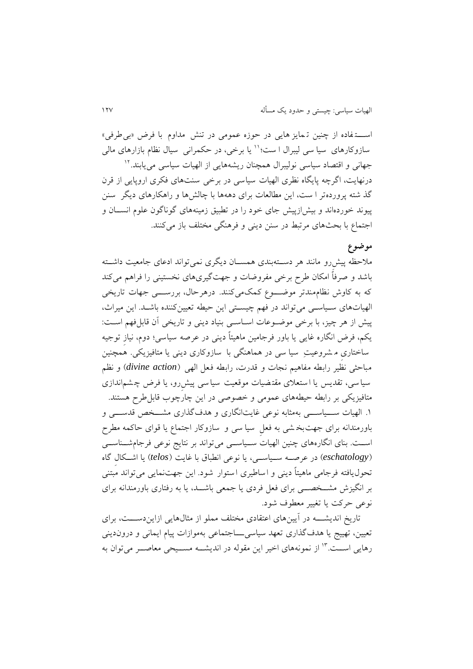اســـت فاده از چنین ت مايز هايی در حوزه عمومی در تنش مداوم با فرض »بیطرفی« سازوکارهای سیا سی لیبرال ا ست؛'' یا برخی، در حکمرانی سیال نظام بازارهای مالی جهانی و اقتصاد سیاسی نولیبرال همچنان ریشههایی از الهیات سیاسی م<u>ی ی</u>ابند.<sup>۱۲</sup> درنهايت، اگرچه پايگاه نظری الهيات سياسی در برخی سنتهای فکری اروپايی از قرن گذ شته پرورده تر ا ست، اين مطالعات برای دهه ها با چالشها و راهکارهای ديگر سنن پیوند خوردهاند و بیشازپیش جای خود را در تطبیق زمینههای گوناگون علوم انســان و اجتماع با بحثهای مرتبط در سنن دينی و فرهنگی مختلف باز میکنند.

### **موضوع**

ملاحظه پیش رو مانند هر دســتهبندی همســان دیگری نمیتواند ادعای جامعیت داشــته باشد و صرفاً امکان طرح برخی مفروضات و جهت گیریهای نخستین ی را فراهم میکند که به کاوش نظام مندتر موضـــوع کمک میکنند . درهرحال ، بررســـی جهات تاريخی الهیاتهای سـیاسـی میتواند در فهم چیسـتی اين حیطه تعیینکننده باشـد. اين میراف، پیش از هر چیز، با برخی موضـوعات اسـاسـی بنیاد دینی و تاریخی آن قابلفهم اسـت: يکم، فرض انگاره غايی يا باور فرجامین ماهیتاً دينی در عرصه سیاسی؛ دوم، نیازِ توجیه ساختاریِ م شروعیتِ سیا سی در هماهنگی با سازوکاری دينی يا متافیزيکی. همچنین مباحثی نظیر رابطه مفاهیم نجات و قدرت، رابطه فعل الهی )*action divine* )و نظم سیا سی، تقدیس یا استعلای مقتضیات موقعیت سیا سی پیش رو، یا فرض چشم اندازی متافیزيکی بر رابطه حیطههای عمومی و خصوصی در اين چارچوب قابلطرح هستند. ۱. الهیات ســـیاســــی بهمثابه نوعی غايتانگاری و هدفگذاری مشـــخص قدســـی و باورمندانه برای جهتبخ شی به فعلِ سیا سی و سازوکار اجتماع يا قوای حاکمه مطرح اســت. بنای انگارههای چنین الهیات ســیاســی میتواند بر نتايج نوعی فرجامشــناســی )*eschatology* )در عرصــه ســیاســی، يا نوعی انطباق با غايت )*telos* )يا اشــکالِ گاه تحوليافته فرجامی ماهیتاً دينی و اساطیری استوار شود. اين جهت نمايی میتواند مبتنی بر انگیزش مشــخصــی برای فعل فردی يا جمعی باشــد، يا به رفتاری باورمندانه برای نوعی حرکت يا تغییر معطوف شود.

تاريخ انديشـــه در آيین های اعتقادی مختلف مملو از مثال هاي ی ازايندســـت، برای تعیین، تهییج يا هدفگذاری تعهد سیاسیـــاجتماعی بهموازات پیام ايمانی و دروندينی رهایی اســت." از نمونههای اخیر این مقوله در اندیشــه مســیحی معاصــر می توان به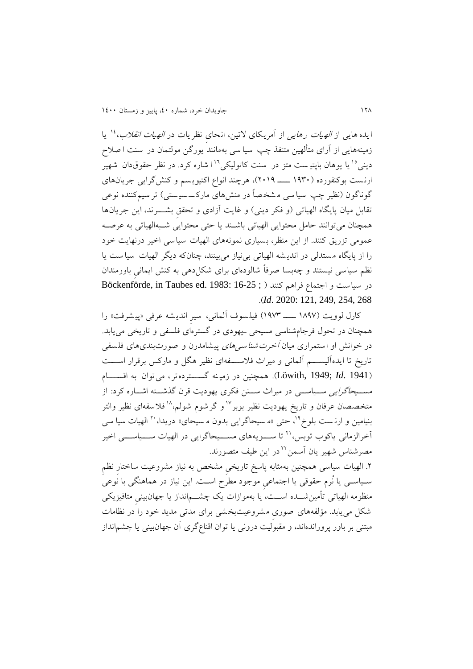ايده هايی از *الهيات رهايی* از آمريکای لاتين، انحای نظريات در *الهيات انقلاب*،<sup>۱۶</sup> يا زمینههایی از آرای متألهین متنفذ چپ سیا سی بهمانند یورگن مولتمان در سنت ا صلاح دینی°' یا پوهان باپتیست متز در سنت کاتولیکی<sup>۱'</sup>ا شاره کرد. در نظر حقوقدان شهیر ارن ست بوکنفورده ) 0۸11 ــــ 210۸(، هرچند انواع اکتیوي سم و کنش گرايی جريانهای گوناگون (نظیر چپ سیا سی مشخصاً در منش های مارکسسیستی) تر سیمکننده نوعی تقابل میان پايگاه الهياتی (و فکر دينی) و غايت آزادی و تحقق بشــــرند، اين جريانها همچنان میتوانند حامل محتوايی الهیاتی باشـند يا حتی محتوايی شـبهالهیاتی به عرصـه عمومی تزريق کنند. از اين منظر، بسیاری نمونه های الهیات سیاسی اخیر درنهايت خود را از پايگاه مستدلی در انديشه الهياتی بینیاز می بينند، چنانکه ديگر الهيات سياست يا نظم سیاسی نیستند و چه بسا صرفاً شالوده ای برای شکل دهی به کنش ايمانیِ باورمندان در سیاست و اجتماع فراهم کنند ( ; 16-25 :1983 Böckenförde, in Taubes ed. 1983 .)*Id*. 2020: 121, 249, 254, 268

کارل لوويت )0٧۸٨ ــــ 0۸٨1( فیل سوف آلمانی ، سیرِ اندي شه عرفی »پی شر فت« را همچنان در تحول فرجامشناسی مسیحی ـ يهودی در گسترهای فلسفی و تاريخی میيابد. در خوانش او استمراری میان *آخرت شناسی های* پیشامدرن و صورتبندیهای فلسفی تاريخ تا ايدهآليســـم آلماني و ميراث فلاســـفهاي نظير هگل و مارکس برقرار اســـت )1941 .*Id*; 1949 ,Löwith). همچنین در زمی نه گســـتردهتر ، میتوان به اقســـام مســیحاگرايی ســیاســی در میراف ســنن فکری يهوديت قرن گذشــته اشــاره کرد: از متخصصان عرفان و تاريخ يهوديت نظير بوبر<sup>17</sup>و گرشوم شولم،<sup>۱۸</sup>فلاسفهای نظير والتر بنیامین و ارنست بلوخ<sup>۱۹</sup>، حتی «مسیحاگرایی بدون مسیحای» دریدا، <sup>۲۰</sup> الهیات سیا سی آخرالزمانی پاکوب توبس،'' تا ســـويههای مســـیحاگرايی در الهیات ســـیاســـی اخیر مصرشناس شهیر یان آسمن<sup>۲۲</sup>در این طیف متصورند.

.2 الهیات سیاسی همچنین به مثابه پاسخ تاريخیِ مشخد به نیاز مشروعیت ساختارِ نظمِ سـیاسـی يا نُرم حقوقی يا اجتماعیِ موجود مطرح اسـت. اين نیاز در هماهنگی با نوعی منظومه الهیاتی تأمینشــده اســت، يا بهموازات يک چشــمانداز يا جهانبینیِ متافیزيکی شکل می يابد. مؤلفههای صوریِ مشروعیت بخشی برای مدتی مديد خود را در نظامات مبتنی بر باور پروراندهاند، و مقبولیت درونی يا توان اقناعگری آن جهانبینی يا چشمانداز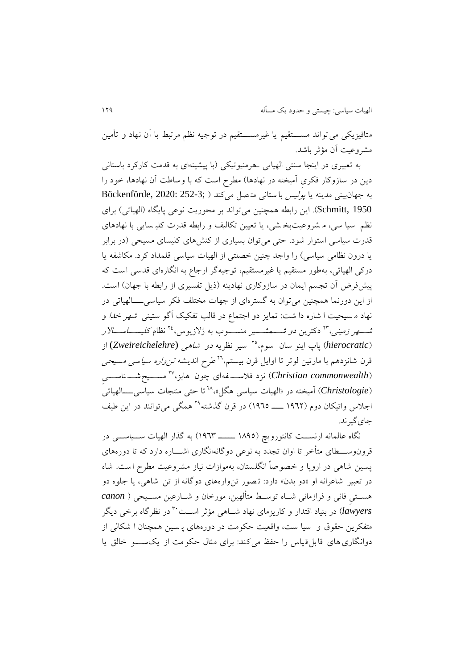متافيزيکی می تواند مســــتقیم يا غیرمســـتقیم در توجیه نظم مرتبط با آن نهاد و تأمین مشروعیت آن مؤ ر باشد.

به تعبیری در اينجا سنتی الهیاتی ـ هرمنیوتیکی )با پیشینهای به قدمت کارکرد باستانی دين در سازوکار فکری آميخته در نهادها) مطرح است که با وساطت آن نهادها، خود را به جهانبینی مدینه یا *پولیس* با ستانی متصل می کند ( ;Böckenförde, 2020: 252-3 Schmitt, 1950). اين رابطه همچنين میتواند بر محوريت نوعی پايگاه (الهياتی) برای نظم سیا سی، م شروعیت بخ شی، يا تعیین تکالیف و رابطه قدرت کلی سايی با نهادهای قدرت سیاسی استوار شود. حتی میتوان بسیاری از کنشهای کلیسای مسیحی )در برابر يا درون نظامی سیاسی) را واجد چنین خصلتی از الهیات سیاسی قلمداد کرد. مکاشفه يا درکی الهیاتی، بهطور مستقیم يا غیرمستقیم ، توجیهگر ارجاع به انگارهای قدس ی است که پیشفر ض آن تجسم ايمان در سازوکاری نهادينه (ذيل تفسيری از رابطه با جهان) است. از اين دورنما همچنین میتوان به گستره ای از جهات مختلف فکر سیاسی ــــالهیاتی در نهاد م سیحیت ا شاره دا شت: تمایز دو اجتماع در قالب تفکیک آگو ستینی شهر *خدا و* شــــهر *زمینی*،\*\* دکترین *دو شــــمشــــیر* منســــوب به ژلازیوس،\*\* نظام *کلیســــاســــالار* )*hierocratic* )پاپ اينو سان سوم، سیر نظريه دو شاهی (*Zweireichelehre* (از <sup>21</sup> قرن شانزدهم با مارتین لوتر تا اوایل قرن بیستم، <sup>۲۹</sup>طرح اندیشه *تن واره سیاسی م*سی*حی* (*Christian commonwealth*) نزد فلاســــفهای چون هابز،<sup>۲۷</sup> مســــیحشـــــناســـــیِ (*Christologie*) آمیخته در «الهیات سیاسی هگل»<sup>۲۸</sup> تا حتی منتجات سیاس<u>ی ـ</u>ـــالهیاتی اجلاس واتیکان دوم (۱۹۶۲ ــــــ ۱۹٦٥) در قرن گذشته<sup>۲۹</sup> همگی می توانند در این طیف جای گیر ند.

نگاه عالمانه ارنســت کانتوروي) )0٧۸1 ـــــ 0۸11( به گذار الهیات ســیاســی در قرونوســـطای متأخر تا اوان تجدد به نوعی دوگانهانگاری اشـــاره دارد که تا دورههای پسین شاهی در اروپا و خصوصاً انگلستان، به موازات نیاز مشروعیت مطرح است. شاه در تعبیر شاعرانه او «دو بدن» دارد: تـصور تن وارههای دوگانه از تن شاهی، یا جلوه دو هســتیِ فانی و فرازمانی شــاه توســ متألهین، مورخان و شــارعین مســیحی ) *canon* در نظرگاه برخی ديگر <sup>11</sup> *lawyers* )در بنیاد اقتدار و کاريزمای نهاد شــاهی مؤ ر اســت متفکرين حقوق و سیا ست، واقعیت حکومت در دوره های پ سین همچنان ا شکالی از دوانگاری های قابل قیاس را حفظ می کند: برای مثال حکومت از يک ســـو خالق يا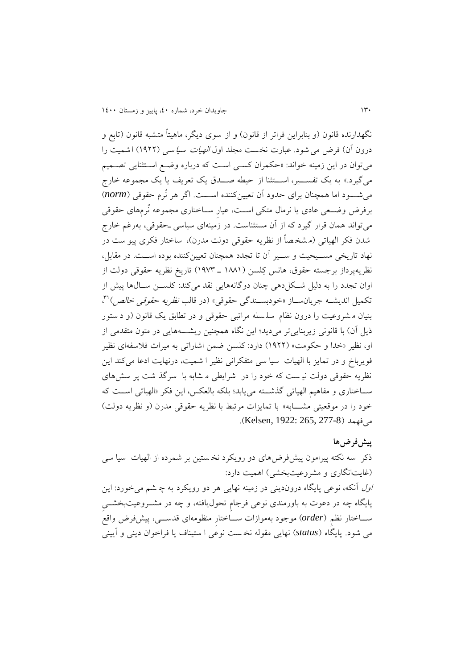نگهدارنده قانون (و بنابراين فراتر از قانون) و از سوی ديگر، ماهيتاً متشبه قانون (تابع و درون آن) فرض می شود. عبارت نخست مجلد اول *الهیات سیا سی* (۱۹۲۲) ا شمیت را میتوان در اين زمینه خواند: »حکمران کسـی اسـت که درباره وضـع اسـتثنايی تصـمیم میگیرد.» به يک تفســـیر، اســـتثنا از حیطه صـــدق يک تعريف يا يک مجموعه خارج میشـــود اما همچنا ن برای حدود آن تعیین کننده اســـت. اگر هر نُرم حقوقی ) *norm* ) برفرض وضــعی عادی يا نرمال متکی اســت، عیارِ ســاختاری مجموعه نُرمهای حقوقی میتواند همان قرار گیرد که از آن مستثناست. در زمینهای سیاسی ـ حقوقی، بهرغم خارج شدن فکر الهیاتی (م شخصاً از نظریه حقوقی دولت مدرن)، ساختار فکری پیو ست در نهاد تاريخی مســیحیت و ســیر آن تا تجدد همچنان تعیینکننده بوده اســت. در مقابل، نظريهپرداز برجسته حقوق، هانس کِلسن )0٧٧0 ـ 0۸٨1( تاريخ نظريه حقوقی دولت از اوان تجدد را به دلیل شــکلدهی چنان دوگانههايی نقد میکند: کلســن ســالها پیش از تکمیل اندیشــه جریانســاز «خودبســندگی حقوقی» (در قالب *نظریه حقوقی خالص*)<sup>۳۱</sup>، بنیان م شروعیت را درون نظام سل سله مراتبی حقوقی و در تطابق يک قانون )و د ستور ذيل آن) با قانونی زيربنايی تر می ديد؛ اين نگاه همچنين ريشــــههايی در متون متقدمی از او، نظیر «خدا و حکومت» (۱۹۲۲) دارد: کلسن ضمن اشاراتی به میراث فلاسفه ای نظیر فويرباخ و در تمايز با الهیات سیا سی متفکرانی نظیر ا شمیت، درنهايت ادعا می کند اين نظريه حقوقی دولت نی ست که خود را در شرايطی م شابه با سرگذ شت پر سش های ســاختاری و مفاهیم الهیاتی گذشــته میيابد؛ بلکه بالعکس، اين فکر »الهیاتی اســت که خود را در موقعیتی مشــــابه» با تمایزات مرتبط با نظریه حقوقی مدرن (و نظریه دولت) می فهمد (277-8 Kelsen, 1922: 265, 277).

#### **پیش فرض ها**

ذکر سه نکته پیرامون پیش فرضهای دو رويکرد نخ ستین بر شمرده از الهیات س یا سی )غايتانگاری و مشروعیتبخشی( اهمیت دارد: اول آنکه، نوعی پايگاه دروندينی در زمینه نهايی هر دو رويکرد به چ شم میخورد: اين پايگاه چه در دعوت به باورمندی نوعی فرجامِ تحوليافته، و چه در مشــروعیتبخشــیِ ســاختار نظمِ )*order* )موجود بهموازات ســاختارِ منظومهای قدســی، پیشفرض واقع می شود . پايگاه )*status* )نهايی مقوله نخ ست نوعی ا ستیناف يا فراخوان دينی و آيینی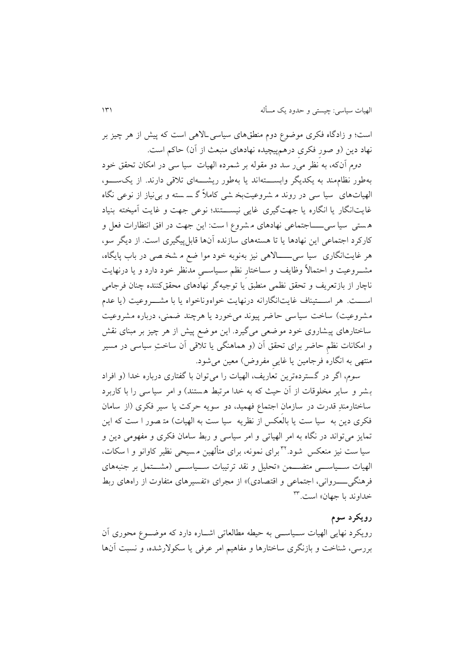است؛ و زادگاه فکری موضوع دوم منطقهای سیاسیـ االهی است که پیش از هر چیز بر نهاد دین (و صور فکری درهمپیچیده نهادهای منبعث از آن) حاکم است.

دوم آنکه، به نظر میر سد دو مقو له بر شمرده الهیات سیا سی در امکان تحقق خود به طور نظام مند به يکديگر وابســـته اند يا به طور ريشـــهای ت قی دارند . از يک ســـو، الهیاتهای سیا سی در روند م شروعیت بخ شی کام ً گ س سته و بی نیاز از نوعی نگاه غايت انگار يا انگاره يا جهت گيرى غايي نيســـتند؛ نوعی جهت و غايت آميخته بنياد ه ستی سیا سی ــــاجتماعی نهادهای م شروع ا ست: اين جهت در افق انتظارات فعل و کارکرد اجتماعی اين نهادها يا تا هستههای سازنده آنها قابل پیگیری است. از ديگر سو، هر غايتانگاری سیا سی ـــــاالهی نیز بهنوبه خود موا ضع م شخ صی در باب پايگاه، مشــروعیت و احتماالً وظايف و ســاختارِ نظم ســیاســیِ مدنظر خود دارد و يا درنهايت ناچار از بازتعريف و تحقق نظمی منطبق يا توجیه گر نهادهای محققکننده چنان فرجامی اســـت. هر اســـتیناف غايت انگارانه درنهايت خواه وناخواه يا با مشـــروعیت )يا عدم مشروعیت) ساخت سیاسی حاضر پیوند می خورد یا هرچند ضمنی، درباره مشروعیت ساختارهای پیشاروی خود موضعی میگیرد. این موضع پیش از هر چیز بر مبنای نقش و امکانات نظمِ حاضر برای تحقق آن (و هماهنگی یا تلاقی آن ساختِ سیاسی در مسیر منتهی به انگاره فرجامین يا غايیِ مفروض( معین میشود.

سوم، اگر در گستردهترين تعاريف، الهيات را مي توان با گفتاری درباره خدا (و افراد بشر و سایر مخلوقات از آن حیث که به خدا مرتبط هستند) و امر سیا سی را با کاربرد ساختارمندِ ِ قدرت در سازمان اجتماع فهمید، دو سويه حرکت يا سیر فکری )از سامان فکری دين به سيا ست يا بالعکس از نظريه سيا ست به الهيات) متـصور ا ست که اين تمايز می تواند در نگاه به امر الهياتی و امر سياسی و ربط سامان فکری و مفهومی دين و سیا ست نیز منعکس شود.<sup>۳۲</sup>برای نمونه، برای متألهین مسیحی نظیر کاوانو و ا سکات، الهیات ســیاســی متضــمن »تحلیل و نقد ترتیبات ســیاســی )مشــتمل بر جنبههای فرهنگی ـــــــــروانی، اجتماعی و اقتصادی)» از مجرای «تفسیرهای متفاوت از راههای ربط خداوند با جهان» است.<sup>۳۳</sup>

#### **رویکرد سوم**

رويکرد نهايی الهیات ســیاســی به حیطه مطالعاتی اشــاره دارد که موضــوع محوری آن بررسی، شناخت و بازنگری ساختار ها و مفاهیم امر عرفی يا سکوالرشده، و نسبت آنها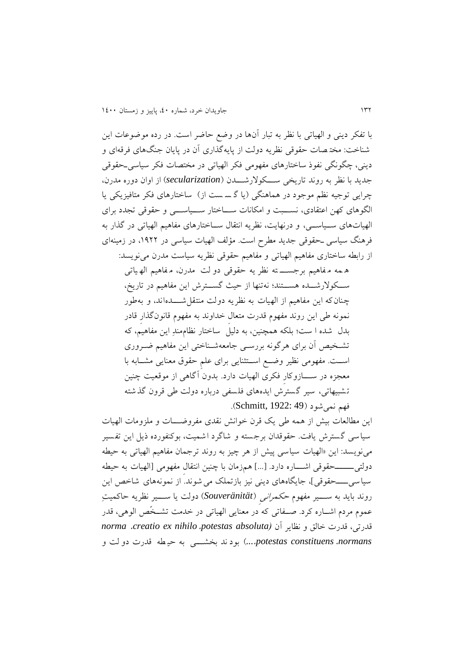با تفکر دينی و الهیاتی با نظر به تبار آنها در وضع حاضر است. در رده موضوعات اين شناخت: مخت صات حقوقی نظريه دولت از پايهگذاری آن در پايان جنگهای فرقهای و دينی، چگونگی نفوذ ساختارهای مفهومی فکر الهیاتی در مختصات فکر سیاسیـ حقوقی جديد با نظر به روند تاريخی ســـکوالرشـــدن )*secularization* )از اوان دوره مدرن، چرايی توجيه نظم موجود در هماهنگی (يا گسست از) ساختارهای فکر متافيزيکی يا الگوهای کهن اعتقادی، نســبت و امکانات ســاختار ســیاســی و حقوقی تجدد برای الهیاتهای ســیاســی، و درنهايت، نظريه انتقال ســاختارهای مفاهیم الهیاتی در گذار به فرهنگ سیاسی ـ حقوقی جديد مطرح است. مؤلف الهیات سیاسی در ،0۸22 در زمینهای از رابطه ساختاری مفاهیم الهیاتی و مفاهیم حقوقی نظريه سیاست مدرن مینويسد:

ه مه م فاهیم برجســـ ته نظر يه حقوقی دو لت مدرن، م فاهیم اله یات ی ســکوالرشــده هســتند؛ نه تنها از حیث گســترش اين مفاهیم در تاريخ، چنان که اين مفاهیم از الهیات به نظريه دولت منتقل شـــدهاند، و به طور نمونه طی اين روند مفهوم قدرت متعالِ خداوند به مفهوم قانونگذارِ قادر بدل شده ا ست؛ بلکه همچنین، به دلیل ساختار نظام مندِ اين مفاهیم، که تشـخیص آن برای هرگونه بررسـی جامعهشــناختی این مفاهیم ضــروری اســت. مفهومی نظیر وضــع اســتثنايی برای علمِ حقوق معنايی مشــابه با معجزه در ســـازوکارِ فکری الهیات دارد. بدون آگاهی از موقعیت چنین تشبیهاتی، سیر گسترش ايده های فلسفی درباره دولت طی قرون گذشته فهم نمي شود (Schmitt, 1922: 49).

اين مطالعات بیش از همه طی يک قرن خوانش نقدی مفروضـــات و ملزومات الهیات سیاسی گسترش يافت. حقوقدان برجسته و شاگرد اشمیت، بوکنفورده ذيل اين تفسیر مینويسد: اين »الهیات سیاسی پیش از هر چیز به روند ترجمان مفاهیم الهیاتی به حیطه دولتی\_\_\_\_حقوقی اشــــاره دارد. […] همزمان با چنین انتقال مفهومی [الهیات به حیطه سیاسی ـــــحقوقی]، جايگاههای دينی نيز بازتملک می شوند. از نمونههای شاخص اين روند بايد به ســـیر مفهوم حکمرانیِ )*Souveränität* )دولت يا ســـیر نظريه حاکمیتِ عموم مردم اشــاره کرد. صــفاتی که در معنایی الهیاتی در خدمت تشــخَص الوهی، قدر قدرتی، قدرت خالق و نظاير آن *)absoluta potestas*، *nihilo ex creatio*، *norma normans*، *constituens potestas...*، )بود ند بخشـــی به حی طه قدرت دو لت و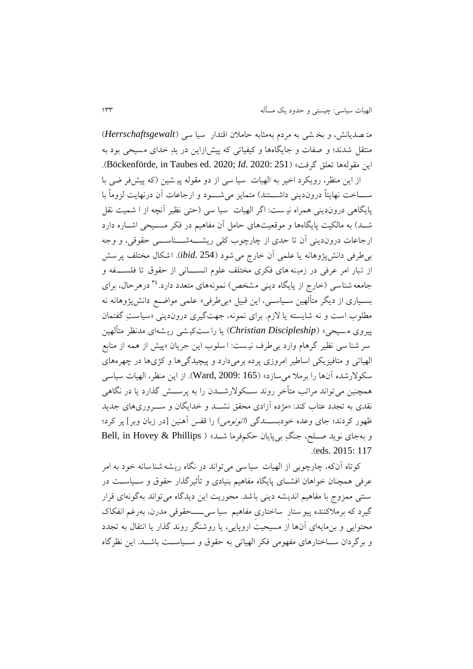مت صديانش، و بخ شی به مردم به مثابه حام ن اقتدار سیا سی ) *Herrschaftsgewalt* ) منتقل شدند؛ و صفات و جايگاهها و کيفياتی که پيش|زاين در يدِ خدای مسيحی بود به .)Böckenförde, in Taubes ed. 2020; *Id*. 2020: 251( »گرفت تعلق مقولهها اين

از اين منظر، رويکرد اخیر به الهیات سیا سی از دو مقوله پی شین )که پیش فر ضی با ســـاخت نهايتاً دروندينی داشــــتند) متمايز می شـــود و ارجاعات آن درنهايت لزوماً با پايگاهی دروندينی همراه نيست: اگر الهيات سيا سی (حتی نظیر آنچه از ا شميت نقل شــد) به مالکیت پایگاهها و موقعیتهای حامل آن مفاهیم در فکر مســیحی اشــاره دارد ارجاعات درون دينی آن تا حدی از چارچوب کلی ريشـــه شـــناســـی حقوقی ، و وجه بیطرفی دانشپژوهانه يا علمی آن خارج میشود ) 254 .*ibid*). اشکال مختلف پرسش از تبار امر عرفی در زمینه های فکری مختلف علوم انســـانی از حقوق تا فلســـفه و جامعه شناسی (خارج از پايگاه دينی مشخص) نمونههای متعدد دارد.<sup>۳٤</sup> درهرحال، برای بسـیاری از دیگر متألهین سـیاسـی، این قبیل «بیطرفی» علمی مواضـع دانشپژوهانه نه مطلوب است و نه شايسته يا لازم. برای نمونه، جهت گيری دروندينی «سياستِ گفتمان پیروی م سیحی « )*Discipleship Christian* )يا را ست کی شی ري شه ای مدنظر متألهین سر شنا سی نظیر گرهام وارد بی طرف نی ست: ا سلوب اين جريان »پیش از همه از منابع الهیاتی و متافیزيکی اساطیر امروزی پرده برمیدارد و پیچیدگیها و کژیها در چهرههای سکولارشده آنها را برملا می سازد» (Ward, 2009: 165). از اين منظر، الهيات سياسی همچنین میتواند مراتب متأخر روند ســکوالرشــدن را به پرســش گذارد يا در نگاهی نقدی به تجدد عتاب کند: »مژده آزادی محقق نشــد و خدايگان و ســروری های جديد ظهور کردند؛ جای وعده خودبســندگی *(اتونومی)* را قفس آهنین [در زبان وبر] پر کرد؛ و بهجای نوید صـلح، جنگِ بی پایان حکمفرما شـد» ( Bell, in Hovey & Phillips .)eds. 2015: 117

کوتاه آنکه، چارچوبی از الهیات سیا سی می تواند در نگاه ريشه شنا سانه خود به امر عرفی همچنان خواهان افشــای پايگاه مفاهیم بنیادی و تأ یرگذار حقوق و ســیاســت در سنتی ممزوج با مفاهیم انديشه دينی باشد. محوريت اين ديدگاه می تواند بهگونهای قرار گیرد که برملاکننده پیو ستارِ ساختاری مفاهیم سیا سی ــــحقوقی مدرن، بهرغم انفکاک محتوايی و بنمايهای آنها از مسیحیت اروپايی، يا روشنگر روند گذار يا انتقال به تجدد و برگردان ســاختارهای مفهومی فکر الهیاتی به حقوق و ســیاســت باشــد. اين نظرگاه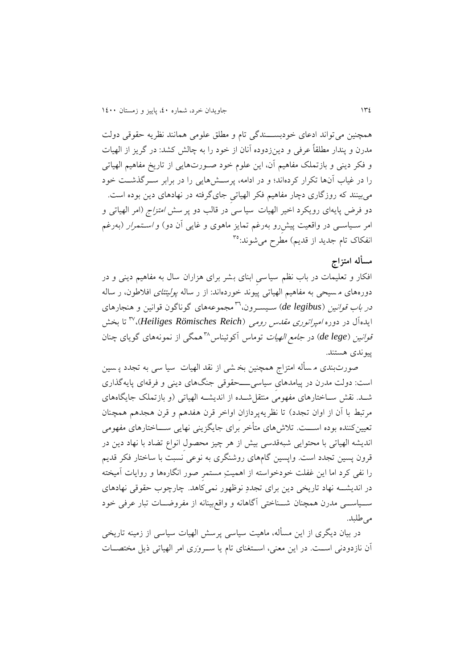همچنین میتواند ادعای خودبســـندگی تام و مطلق علومی همانند نظريه حقوقی دولت مدرن و پندار مطلقاً عرفی و دينزدوده آنان از خود را به چالش کشد: در گريز از الهیات و فکر دينی و بازتملک مفاهیم آن، اين علوم خود صـور تهايی از تاريخ مفاهیم الهیاتی را در غیاب آنها تکرار کردهاند؛ و در ادامه، پرســشهايی را در برابر ســرگذشــت خود میبینند که روزگاری دچار مفاهیم فکر الهیاتیِ جایگرفته در نهادهای دين بوده است. دو فرض پايهای رويکرد اخیر الهیات سیا سی در قالب دو پر سش *امتزاج (ام*ر الهیاتی و امر سـیاســی در واقعیت پیش رو بهرغم تمایز ماهوی و غایی آن دو) و *اسـتمرار* (بهرغم انفکاک تام جديد از قديم) مطرح میشوند:°<sup>۳</sup>

### **مسأله امتزاج**

افکار و تعلیمات در باب نظم سیاسیِ ابنای بشر برای هزاران سال به مفاهیم دينی و در دورههای مسیحی به مفاهیم الهیاتی پیوند خوردهاند: از ر ساله *پولیتئای* افلاطون، ر ساله د*ر باب قوانین* (de legibus) سـیسـرون،'<sup>۳</sup>مجموعههای گوناگون قوانین و هنجارهای تا بخش <sup>1</sup>٨ ايده آل در دوره امپراتوری مقدس رومی )*Reich Römisches Heiliges*)، قوانین )*lege de* )در جامع الهیات توماس آکوئیناس همگی از نمونههای گويای چنان <sup>1</sup>٧ پیوندی هستند.

صورت بندی م سأله امتزاج همچنین بخ شی از نقد الهیات سیا سی به تجدد پ سین است: دولت مدرن در پیامدهایِ سیاسی ــــحقوقی جنگهای دينی و فرقهای پايهگذاری شـد. نقش سـاختارهای مفهومی منتقلشـده از انديشـه الهیاتی )و بازتملک جايگاههای مرتبط با آن از اوان تجدد) تا نظريهپردازان اواخر قرن هفدهم و قرن هجدهم همچنان تعیینکننده بوده اســـت. تلاش۱های متأخر برای جایگزینی نهایی ســـاختارهای مفهومی انديشه الهیاتی با محتوايی شبهقدسی بیش از هر چیز محصولِ انواع تضاد با نهاد دين در قرون پسین تجدد است. واپسین گامهای روشنگری به نوعی نسبت با ساختار فکر قديم را نفی کرد اما اين غفلت خودخواسته از اهمیتِ مستمرِ صور انگارهها و روايات آمیخته در انديشــه نهاد تاريخی دين برای تجددِ نوظهور نمیکاهد. چارچوب حقوقی نهادهای ســیاســی مدرن همچنان شــناختی آگاهانه و واقعبینانه از مفروضــات تبار عرفی خود می طلبد.

در بیان دیگری از این مسأله، ماهیت سیاسی پرسش الهیات سیاسی از زمینه تاریخی آن نازدودنی اســت. در اين معنی، اســتغنای تام يا ســرواری امر الهیاتی ذيل مختصــات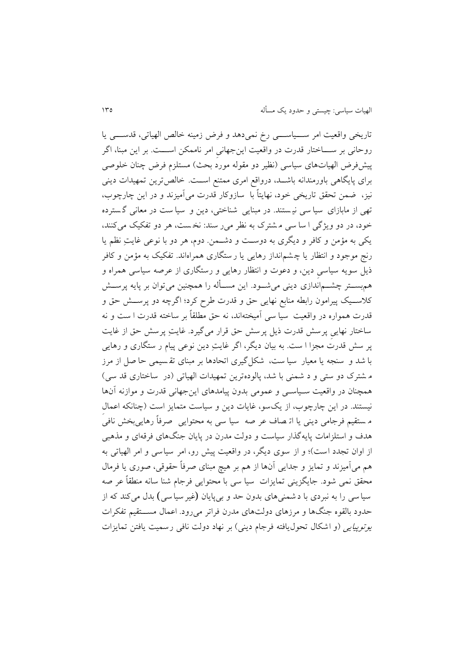تاريخی واقعیت امر ســـیاســـی رخ نمیدهد و فرض زمینه خالص الهیاتی، قدســـی يا روحانی بر ســـاختار قدرت در واقعیت اين جهانیِ امر ناممکن اســـت. بر اين مبنا، اگر پیشفرض الهیاتهای سیاسی (نظیر دو مقوله مورد بحث) مستلزم فرض چنان خلوصی برای پايگاهی باورمندانه باشــد، درواقع امری ممتنع اســت. خالدترين تمهیدات دينی نیز، ضمن تحقق تاريخی خود ، نهايتاً با سازوکار قدرت می آمیزند و در اين چارچوب، تهی از مابازای سیا سی نی ستند. در مبنايی شناختی ، دين و سیا ست در معانی گ سترد ه خود، در دو ویژگی ا سا سی م شترک به نظر می ر سند: نخست، هر دو تفکیک می کنند، يکی به مؤمن و کافر و ديگری به دوسـت و دشـمن. دوم، هر دو با نوعی غايتِ نظم يا رنج موجود و انتظار يا چ شم انداز رهايی يا ر ستگاری همراه اند. تفکیک به مؤمن و کافر ذيل سويه سیاسیِ دين ، و دعوت و انتظار رهايی و رستگاری از عرصه سیاسی همراه و همبســتر چشــماندازی دينی میشــود. اين مســأله را همچنین میتوان بر پايه پرســش ک ســیک پیرامون رابطه منابع نهايی حق و قدرت طرح کرد؛ اگرچه دو پرســش حق و قدرت همواره در واقعیت سیا سی آمیختهاند، نه حق مطلقاً بر ساخته قدرت ا ست و نه ساختار نهايیِ پرسش قدرت ذيل پرسش حق قرار می گیرد. غايتِ پرسش حق از غايت پر سش قدرت مجزا ا ست. ب ه بیان ديگر، اگر غايتِ دين نوعی پیام ر ستگاری و رهايی با شد و سنجه يا معیار سیا ست، شکل گیری اتحادها بر مبنای تق سیمی حا صل از م رز م شترک دو ستی و د شمنی با شد، پالوده ترين تمهیدات الهیاتی )در ساختاری قد سی ( همچنان در واقعیت سـیاسـی و عمومی بدون پیامدهای اينجهانی قدرت و موازنه آنها نیستند. در اين چارچوب، از يک سو، غايات دين و سیاست متمايز است )چنانکه اعمالِ م ستقیم فرجامی دينی يا ات صاف عر صه سیا سی به محتوا يی صرفاً رهايی بخش نافی هدف و استلزامات پايهگذار سیاست و دولت مدرن در پايان جنگهای فرقهای و مذهبی از اوان تجدد است)؛ و از سوی ديگر، در واقعیت پیش رو، امر سیاسی و امر الهیاتی به هم میآمیزند و تمایز و جدایی آنها از هم بر هیچ مبنای صرفاً حقوقی، صوری یا فرمال محقق نمی شود. جايگزينی تمايزات سیا سی با محتوايی فرجام شنا سانه منطقاً عر صه سیا سی را به نبردی با د شمنی های بدون حد و بیپايان (غیر سیا سی ) بدل میکند که از حدود بالقوه جنگها و مرزهای دولتهای مدرن فراتر میرود. اعمال مســتقیم تفکرات يوتوپي*ايی (*و اشکال تحول يافته فرجام دينی) بر نهاد دولت نافی رسميت يافتن تمايزات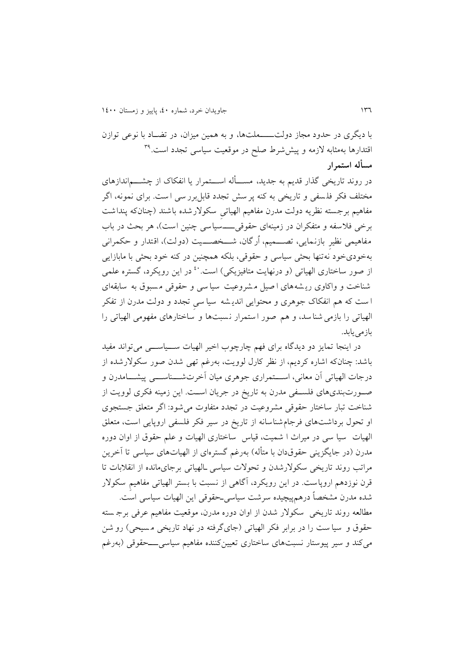با ديگری در حدود مجاز دولتـــــملتها، و به همین میزان، در تضــاد با نوعی توازن قتدارها بهمثابه لازمه و پیششرط صلح در موقعیت سیاسی تجدد است.<sup>۳۹</sup> **مسأله استمرار**

در روند تاريخی گذار قديم به جديد، مســـأله اســـتمرار يا انفکاک از چشـــماندازهای مختلف فکر فلسفی و تاريخی به کنه پر سش تجدد قابل برر سی است. برای نمونه، اگر مفاهیم برجسته نظریه دولت مدرن مفاهیم الهیاتی سکولارشده باشند (چنانکه پنداشت برخی فلاسفه و متفکران در زمینهای حقوقیـــــسیاسی چنین است)، هر بحث در باب مفاهیمی نظیرِ بازنمايی، تصـــمیم، اُرگان، شـــخصـــیت )دولت(، اقتدار و حکمرانی بهخودیخود نهتنها بحثی سیاسی و حقوقی، بلکه همچنین در کنه خود بحثی با مابازايی از صور ساختاری الهیاتی (و درنهایت متافیزیکی) است.<sup>۶</sup>۰ در این رویکرد، گستره علمی شناخت و واکاوی ري شه های ا صیل م شروعیت سیا سی و حقوقی م سبوق به سابقه ای ا ست که هم انفکاک جوهری و محتوايی اندي شه سیا سیِ تجدد و دولت مدرن از تفکر الهیاتی را بازمی شنا سد، و هم صور استمرار نسبتها و ساختارهای مفهومی الهیاتی را باز می بابد.

در اينجا تمايز دو ديدگاه برای فهم چارچوب اخیر الهیات ســیاســی میتواند مفید باشد : چنانکه اشاره کرديم ، از نظر کارل لوويت، بهرغم تهی شدن صور سکوالرشده از درجات الهیاتی آن معانی، اســـتمراری جوهری میان آخرتشــــناســـی پیشـــامدرن و صــورتبندیهای فلســفی مدرن به تاريخ در جريان اســت. اين زمینه فکری لوويت از شناخت تبار ساختار حقوقی مشروعیت در تجدد متفاوت میشود : اگر متعلق جستج وی او تحول برداشت های فرجامشناسانه از تاريخ در سیر فکر فلسفی اروپايی است، متعلق الهیات سیا سی در میراف ا شمیت، قیاس ساختاری الهیات و علم حقوق از اوان دوره مدرن (در جايگزينی حقوقدان با متأله) بهرغم گسترهای از الهياتهای سياسی تا آخرين مراتب روند تاريخی سکوالرشدن و تحوالت سیاسی ـ الهیاتی برجایمانده از انق بات تا قرن نوزدهم اروپاست. در اين رويکرد، آگاهی از نسبت با بستر الهياتی مفاهيم سکولار شده مدرن مشخصاً درهمپیچیده سرشت سیاسیـحقوقی اين الهیات سیاسی است. مطالعه روند تاريخی سکوالر شدن از اوان دوره مدرن ، موقعیت مفاهیم عرفی برج سته حقوق و سیا ست را در برابر فکر الهیاتی (جایگرفته در نهاد تاریخی مسیحی) رو شن میکند و سیر پیوستار نسبتهای ساختاری تعیینکننده مفاهیم سیاسیـــحقوقی )بهرغم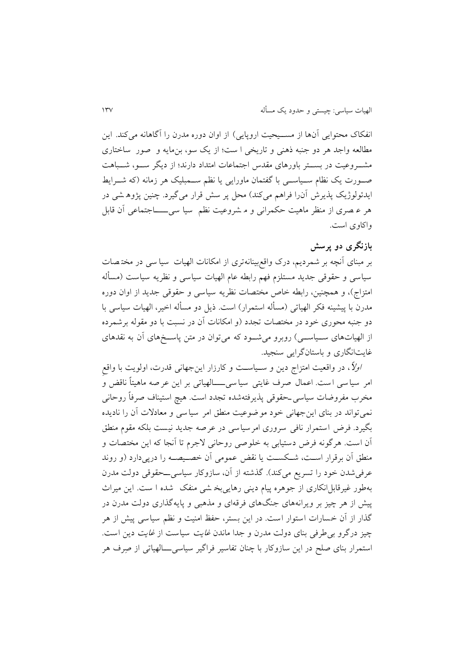انفکاک محتوايی آنها از مســیحیت اروپايی) از اوان دوره مدرن را آگاهانه میکند. اين مطالعه واجد هر دو جنبه ذهنی و تاريخی ا ست؛ از يک سو، بن مايه و صور ساختاری مشــروعیت در بســتر باورهای مقدس اجتماعات امتداد دارند؛ از ديگر ســو، شــباهت صــورت يک نظام ســياســی با گفتمان ماورايي يا نظم ســمبليک هر زمانه (که شـــرايط ايدئولوژيک پذيرش آن(ا فراهم می کند) محل پر سش قرار می گیرد. چنین پژوه شی در هر ع صری از منظر ماهیت حکمرانی و م شروعیت نظم سیا سی ـــــاجتماعی آن قابل واکاوی است.

## **بازنگری دو پرسش**

بر مبنای آنچه بر شمرديم، درک واقعبینانهتری از امکانات الهیات سیا سی در مخت ص ات سیاسی و حقوقی جديد مستلزم فهم رابطه عام الهیات سیاسی و نظريه سیاست )مسأله امتزاج)، و همچنین، رابطه خاص مختصات نظريه سیاسی و حقوقی جديد از اوان دوره مدرن با پیشینه فکر الهیاتی (مسأله استمرار) است. ذیل دو مسأله اخیر، الهیات سیاسی با دو جنبه محوری خود در مختصات تجدد (و امکانات آن در نسبت با دو مقوله برشمرده از الهیاتهای ســیاســی ( روبرو میشــود که میتوان در متن پاســخهای آن به نقدهای غايتانگاری و باستانگرايی سنجید.

اوال،ً در واقعیت امتزاج دين و سـیاسـت و کارزار اينجهانی قدرت، اولويت با واقعِ امر سیا سی ا ست. اعمال صرف غايتی سیا سی ــــالهیاتی بر اين عر صه ماهیتاً ناقض و مخرب مفروضات سیاسی حقوقی پذیرفتهشده تجدد است. هیچ استیناف صرفاً روحانی نمیتواند در بنای اينجهانی خود موضوعیت منطق امر سیاسی و معادالت آن را ناديده بگیرد. فرض استمرار نافی سروری امرسیاسی در عرصه جديد نیست بلکه مقوم منطق آن است. هرگونه فرض دستیابی به خلوصی روحانی الجرم تا آنجا که اين مختصات و منطق آن برقرار اسـت، شـکسـت يا نقض عمومی آن خصـیصـه را درپیدارد )و روند عرفی شدن خود را تسريع میکند). گذشته از آن، سازوکار سياسی\_حقوقی دولت مدرن بهطور غیرقابلانکاری از جوهره پیام دينی رهايیبخ شی منفک شده ا ست. اين میراف پیش از هر چیز بر ویرانههای جنگهای فرقهای و مذهبی و پایه گذاری دولت مدرن در گذار از آن خسارات استوار است. در اين بستر، حفظ امنیت و نظم سیاسی پیش از هر چیز درگرو بیطرفی بنای دولت مدرن و جدا ماندن غايت سیاست از غايت دين است. استمرار بنای صلح در این سازوکار با چنان تفاسیر فراگیر سیاسی\_ــالهیاتی از صِرف هر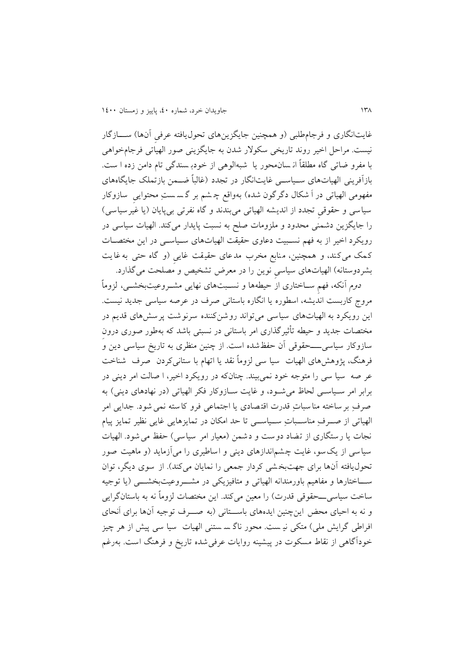غايتانگاری و فرجامطلبی (و همچنین جايگزينهای تحولپافته عرفی آنها) ســــازگار نیست. مراحل اخیر روند تاريخی سکوالر شدن به جايگزينی صور الهیاتی فرجامخواهی با مفرو ضاتی گاه مطلقاً ان سان محور يا شبه الوهی از خودب سندگی تام دامن زده ا س ت. بازآفرينی الهیاتهای ســیاســی غايتانگار در تجدد )غالباً ضــمن بازتملک جايگاههای مفهومی الهیاتی در اَ شکال دگرگون شده) بهواقع چـ شم بر گـ سستِ محتوایی ِ سازوکار سیاسی و حقوقی تجدد از انديشه الهیاتی میبندند و گاه نفرتی بیپایان (يا غیرسیاسی) را جايگزين دشمنی محدود و ملزومات صلح به نسبت پايدار می کند. الهيات سياسی در رويکرد اخیر از به فهم نسـبیت دعاوی حقیقت الهیاتهای سـیاسـی در اين مختصـات کمک میکند، و همچنین، منابع مخرب مدعای حقیقت غایی (و گاه حتی به غایت بشردوستانه) الهیاتهای سیاسی نوین را در معرض تشخیص و مصلحت میگذارد.

دوم آنکه، فهمِ سـاختاری از حیطهها و نسـبتهای نهايی مشـروعیتبخشـی، لزوماً مروج کاربست انديشه ، اسطوره يا انگاره باستانی صرف در عرصه سیاسی جديد نیست. اين رويکرد به الهیاتهای سیاسی می تواند روشن کننده سرنوشت پرسش های قديم در مختصات جديد و حیطه تأ یرگذاری امر باستانی در نسبتی باشد که بهطور صوری درونِ سازوکار سیاسی ــــحقوقی آن حفظشده است. از چنین منظری به تاريخ سیاسی دين و فرهنگ، پژوهشهای الهیات سیا سی لزوماً نقد يا اتهام با ستانی کردن صرف شناخت عر صه سیا سی را متوجه خود نمی بیند. چنانکه در رويکرد اخیر، ا صالت امر دينی در برابر امر سـیاسـی لحاظ می شـود، و غايت سـازوکار فکر الهياتی (در نهادهای دينی) به صرفِ بر ساخته منا سباتِ قدرت اقت صادی يا اجتماعی فرو کا سته نمی شود . جدايی امر الهیاتی از صــرفِ مناســباتِ ســیاســی تا حد امکان در تمايزهاي ی غايی نظیر تمايز پیام نجات يا رستگاری از تضاد دوست و دشمن (معیار امر سیاسی) حفظ می شود. الهیات سیاسی از يک سو، غايت چشم اندازهای دينی و اساطیری را می آزمايد (و ماهیت صور تحول يافته آنها برای جهتبخشی کردار جمعی را نمايان میکند). از سوی ديگر، توان ســاختارها و مفاهیم باورمندانه الهیاتی و متافیزيکی در مشــروعیتبخشــی )يا توجیه ساخت سیاسیــــحقوقی قدرت) را معین میکند. این مختصات لزوماً نه به باستانگرایی و نه به احیای محض اینچنین ایدههای باســتانی (به صـــرف توجیه آنها برای اَنحای افراطی گرايش ملی) متکی نیـ ست. محور ناگ سـ ستنی الهیات سیا سی پیش از هر چیز خودآگاهی از نقاط مسکوت در پیشینه روايات عرفیشده تاريخ و فرهنگ است . بهرغم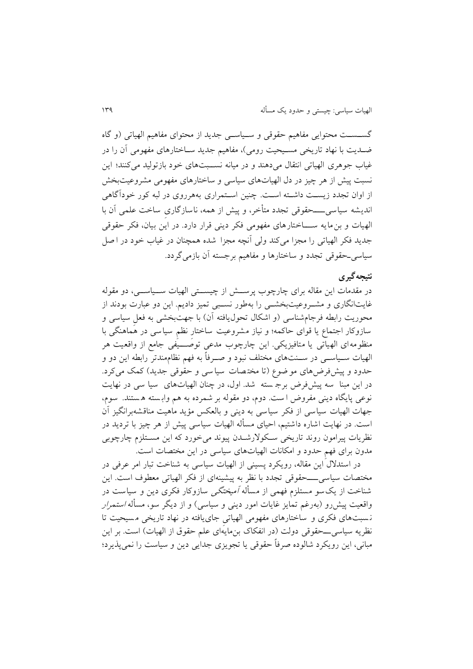گســســت محتوايی مفاهیم حقوقی و ســیاســی جديد از محتوای مفاهیم الهیاتی )و گاه ضـديت با نهاد تاريخی مسـیحیت رومی(، مفاهیم جديد سـاختارهای مفهومی آن را در غیاب جوهری الهیاتی انتقال میدهند و در میانه نســبتهای خود بازتولید میکنند؛ اين نسبت پیش از هر چیز در دل الهیاتهای سیاسی و ساختارهای مفهومی مشروعیتبخش از اوان تجدد زيسـت داشـته اسـت. چنین اسـتمراری بههرروی در لبه کور خودآگاهی انديشه سیاسی ــــحقوقی تجدد متأخر، و پیش از همه، ناسازگاریِ ساخت علمی آن با الهیات و بنمايه ســـاختارهای مفهومی فکر دينی قرار دارد. در اين بیان، فکر حقوقی جديد فکر الهیاتی را مجزا میکند ولی آنچه مجزا شده همچنان در غیاب خود در ا صل سیاسیـحقوقی تجدد و ساختارها و مفاهیم برجسته آن بازمیگردد.

#### **نتیجهگیری**

در مقدمات اين مقاله برای چارچوب پرســش از چیســتی الهیات ســیاســی، دو مقوله غايتانگاری و مشــروعیتبخشــی را بهطور نســبی تمیز داديم. اين دو عبارت بودند از محوريت رابطه فرجامشناسی (و اشکال تحول یافته آن) با جهتبخشی به فعلِ سیاسی و سازوکار اجتماع يا قوای حاکمه؛ و نیاز مشروعیت ساختارِ نظمِ سیاسی در هماهنگی با منظومه ای الهیاتی يا متافیزيکی. اين چارچوب مدعی توصـــیفی جامع از واقعیت هر الهیات ســیاســی در ســنتهای مختلف نبود و صــرفاً به فهم نظاممندتر رابطه اين دو و حدود و پیشفررضهای مو ضوع (تا مختصات سیا سی و حقوقی جدید) کمک می کرد. در اين مبنا سه پیش فرض برج سته شد. اول، در چنان الهیات های سیا سی در نهايت نوعی پايگاه دينی مفروض ا ست. دوم، دو مقوله بر شمرده به هم واب سته ه ستند. سو م، جهات الهیات سیاسی از فکر سیاسی به دینی و بالعکس مؤید ماهیت مناقشهبرانگیز آن است. در نهايت اشاره داشتیم، احیای مسأله الهیات سیاسی پیش از هر چیز با ترديد در نظريات پیرامون روند تاريخی سـکوالر شـدن پیوند می خورد که اين مسـتلزم چارچوبی مدون برای فهمِ حدود و امکانات الهیاتهای سیاسی در اين مختصات است.

در استدالل اين مقاله، رويکرد پسینی از الهیات سیاسی به شناخت تبار امر عرفی در مختصات سیاسی ــــحقوقی تجدد با نظر به پیشینه ای از فکر الهیاتی معطوف است. ا ين شناخت از يک سو مستلزم فهمی از مسأله آمیختگی سازوکار فکری دين و سیاست در واقعیت پیشررو (بهرغم تمايز غايات امور دينی و سياسی) و از ديگر سو، مسأله *استمرار* ن سبت های فکری و ساختارهای مفهومی الهیاتیِ جای يافته در نهاد تاريخی م سیحیت تا نظريه سياسی\_ــحقوقی دولت (در انفکاک بنمايهای علم حقوق از الهيات) است. بر اين مبانی، اين رويکرد شالوده صرفاً حقوقی يا تجويزی جدايی دين و سیاست را نمیپذيرد؛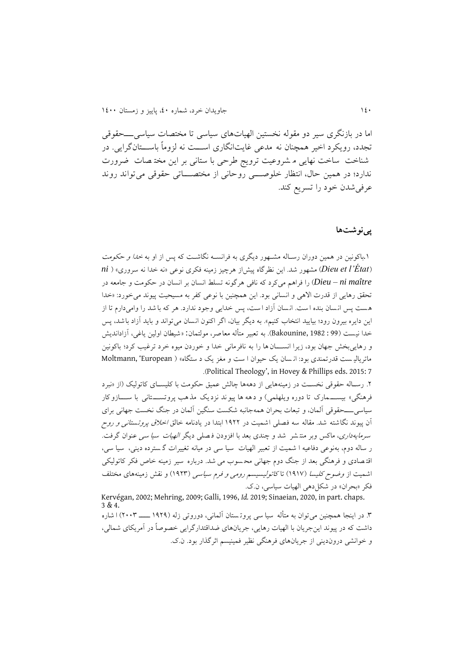اما در بازنگری سیر دو مقوله نخستین الهیاتهای سیاسی تا مختصات سیاسیـــحقوقی تجدد، رويکرد اخیر همچنان نه مدعی غايتانگاری اســت نه لزوماً باســتانگرايی. در شناخت ساخت نهايی م شروعیت ترويج طرحی با ستانی بر اين مخت صات ضرورت ندارد؛ در همین حال، انتظار خلوصـــی روحانی از مختصـــاتی حقوقی می تواند روند عرفیشدن خود را تسريع کند.

#### **پینوشتها**

۱.باکونین در همین دوران رسـاله مشـهور دیگری به فرانسـه نگاشـت که پس از او به *خدا و حکومت* )*État'l et Dieu* )مشهور شد. اين نظرگاه پیشاز هرچیز زمینه فکری نوعی »نه خدا نه سروری« ) *ni maître ni – Dieu* )را فراهم میکرد که نافی هرگونه تسل انسان بر انسان در حکومت و جامعه در تحقق رهايی از قدرت االهی و انسانی بود. اين همچنین با نوعی کفر به مسیحیت پیوند میخورد: »خدا هست پس انسان بنده است. انسان آزاد است، پس خدايی وجود ندارد. هر که با شد را وامیدارم تا از اين دايره بیرون رود؛ بیايید انتخاب کنیم«. به ديگر بیان، اگر اکنون انسان می تواند و بايد آزاد باشد، پس خدا نیست ) <sup>99</sup> : 1982 ,Bakounine). به تعبیر متأله معاصر، مولتمان : »شیطان اولین ياغی، آزادانديش و رهايی بخش جهان بود، زيرا انســـان ها را به نافرمانی خدا و خوردن میوه خرد ترغیب کرد؛ باکونین ماترياليه ست قدرتمندي بود: ان سان يک حيوان ا ست و مغز يک د ستگاه» ( Moltmann, 'European .)Political Theology', in Hovey & Phillips eds. 2015: 7

.2 رسـاله حقوقی نخسـت در زمینههايی از دههها چالش عمیق حکومت با کلیسـای کاتولیک )از »نبرد فرهنگی» بیســـمارک تا دوره ویلهلمی) و دهه ها پیوند نزدیک مذهب پروتســـتانی با ســــازوکار سیاسی ــــحقوقی آلمان، و تبعات بحران همهجانبه شکست سنگین آلمان در جنگ نخست جهانی برای آن پیوند نگاشته شد. مقاله سه فصلی اشمیت در ۱۹۲۲ ابتدا در یادنامه خالق *اخلاق پروتستانی و روح* سرمايه داری، ماکس وبر منت شر شد و چندی بعد با افزودن ف صلی ديگر الهیات سیا سی عنوان گرفت. ر ساله دوم، به نوعی دفاعیه ا شمیت از تعبیر الهیات سیا سی در میانه تغییرات گ سترده دينی، سیا سی، اقت صادی و فرهنگی بعد از جنگ دوم جهانی مح سوب می شد. درباره سیر زمینه خاص فکر کاتولیکی اشمیت از *وضوح کلیسا (*۱۹۱۷) تاکا*تولیسیسم رومی و فرم سیاسی* (۱۹۲۳) و نقش زمینههای مختلف فکر «بحران» در شکل دهی الهیات سیاسی، ن.ک.

Kervégan, 2002; Mehring, 2009; Galli, 1996, *Id.* 2019; Sinaeian, 2020, in part. chaps. 3 & 4.

.1 در اينجا همچنین میتوان به متأله سیا سی پروت ستان آلمانی، دوروتی زله )0۸2۸ ــــ 2111( ا شاره داشت که در پیوند اينجريان با الهیات رهايی، جريانهای ضداقتدارگرايی خصوصاً در آمريکای شمالی، و خوانشی دروندينی از جريانهای فرهنگی نظير فمينيسم اثر گذار بود. ن.ک.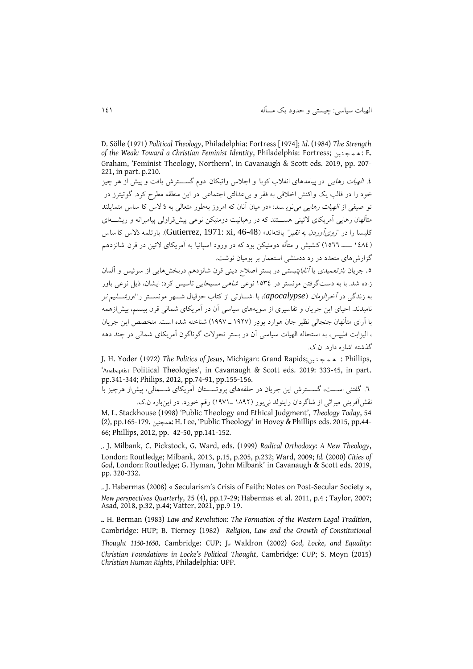D. Sölle (1971) *Political Theology*, Philadelphia: Fortress [1974]; *Id.* (1984) *The Strength of the Weak: Toward a Christian Feminist Identity*, Philadelphia: Fortress; ین ن چ م ه : E. Graham, 'Feminist Theology, Northern', in Cavanaugh & Scott eds. 2019, pp. 207- 221, in part. p.210.

.6 *الهیات رهایی* در پیامدهای انقلاب کوبا و اجلاس واتیکان دوم گســــترش یافت و پیش از هر چیز خود را در قالب يک واکنش اخلاقی به فقر و بی $\epsilon$ دالتی اجتماعی در اين منطقه مطرح کرد. گوتيئرز در تو صیفی از الهیات رهايی مینوي سد: »در میان آنان که امروز بهطور متعالی به دُ الس کا ساس متمايلند متألهان رهايی آمريکای التینی هســتند که در رهبانیت دومنیکن نوعی پیشقراولی پیامبرانه و ريشــهای کلیسا را در "*روی آوردن به فقیر"* یافتهاند» (Gutierrez, 1971: xi, 46-48). بارتلمه دُلاس کا ساس )00٧0 ــــ 0111( کشیش و متأله دومنیکن بود که در ورود اسپانیا به آمريکای التین در قرن شانزدهم گزارشهای متعدد در رد ددمنشی استعمار بر بومیان نوشت.

0. جريان *بازتعميدی يا آناباپتيستی د*ر بستر اصلاح دينی قرن شانزدهم دربخش هايی از سوئيس و آلمان زاده شد. با به دست گرفتن مونستر در 0110 نوعی شاهی مسیحايی تاسیس کرد: ايشان ، ذيل نوعی باور به زندگی در آخرالزمان )*apocalypse*)، با اشــارتی از کتاب حزقیال شــهر مونســتر را اورشــلیم نو نامیدند. احیای اين جريان و تفاسیری از سويههای سیاسی آن در آمريکای شمالی قرن بیستم، بیشازهمه با آرای متألهان جنجالی نظیر جان هوارد يودِر )0۸2٨ ـ 0۸۸٨( شناخته شده است. متخصد اين جريان ، الیزابت فلیپس، به استحاله الهیات سیاسی آن در بستر تحوالت گوناگون آمريکای شمالی در چند دهه گذشته اشاره دارد. ن.ک.

J. H. Yoder (1972) *The Politics of Jesus*, Michigan: Grand Rapids; ین ن چ م ه : Phillips, 'Anabaptist Political Theologies', in Cavanaugh & Scott eds. 2019: 333-45, in part. pp.341-344; Philips, 2012, pp.74-91, pp.155-156.

.1 گفتنی اســت، گســترش اين جريان در حلقههای پروتســتان آمريکای شــمالی، پیشاز هرچیز با نقشآفرينی ميراثی از شاگردان راينولد نیبور (١٨٩٢ ـ١٩٧١) رقم خورد. در اينباره ن.ک. M. L. Stackhouse (1998) 'Public Theology and Ethical Judgment', *Theology Today*, 54

(2), pp.165-179. همچنین: H. Lee, 'Public Theology' in Hovey & Phillips eds. 2015, pp.44- 66; Phillips, 2012, pp. 42-50, pp.141-152.

. J. Milbank, C. Pickstock, G. Ward, eds. (1999) *Radical Orthodoxy: A New Theology*, London: Routledge; Milbank, 2013, p.15, p.205, p.232; Ward, 2009; *Id.* (2000) *Cities of God*, London: Routledge; G. Hyman, 'John Milbank' in Cavanaugh & Scott eds. 2019, pp. 320-332.

. J. Habermas (2008) « Secularism's Crisis of Faith: Notes on Post-Secular Society », *New perspectives Quarterly*, 25 (4), pp.17-29; Habermas et al. 2011, p.4 ; Taylor, 2007; Asad, 2018, p.32, p.44; Vatter, 2021, pp.9-19.

. H. Berman (1983) *Law and Revolution: The Formation of the Western Legal Tradition*, Cambridge: HUP; B. Tierney (1982) *Religion, Law and the Growth of Constitutional Thought 1150-1650*, Cambridge: CUP; J. Waldron (2002) God, Locke, and Equality: *Christian Foundations in Locke's Political Thought*, Cambridge: CUP; S. Moyn (2015) *Christian Human Rights*, Philadelphia: UPP.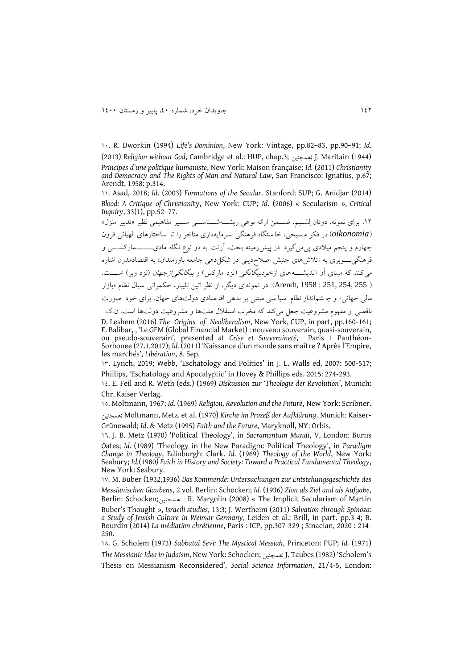01. R. Dworkin (1994) *Life's Dominion*, New York: Vintage, pp.82–83, pp.90–91; *Id.*  (2013) *Religion without God*, Cambridge et al.: HUP, chap.3; همچنین: J. Maritain (1944) *Principes d'une politique humaniste*, New York: Maison française; *Id.* (2011) *Christianity and Democracy and The Rights of Man and Natural Law*, San Francisco: Ignatius, p.67; Arendt, 1958: p.314.

00. Asad, 2018; *Id*. (2003) *Formations of the Secular*. Stanford: SUP; G. Anidjar (2014) *Blood: A Critique of Christiani*ty, New York: CUP; *Id*. (2006) « Secularism », *Critical Inquiry*, 33(1), pp.52–77.

.02 برای نمونه، دوتان لِشــِم، ضــمن ارا ئه نوعی ريشــهشــناســی ســیر مفاهیمی نظیر »تدبیر منزل« )*oikonomia* )در فکر م سیحی، خا ستگاه فرهنگی سرمايه داری متاخر را تا ساختارهای الهیاتی قرون چهارم و پنجم میلادی پی می گیرد. در پیشزرمینه بحث، آرنت به دو نوع نگاه مادی\_\_\_\_ـمارکســـی و فرهنگی ـــوبری به «تلاشهای جنبش اصلاحدينی در شکل دهی جامعه باورمندان» به اقتصادمدرن اشاره میکند که مبنای آن اندیشـــه های ازخ*ودبیگانگی (ن*زد مارکس) و *بیگانگی ازجهان (ن*زد وبر) اســـت. ) 255 254, 251, : 1958 ,Arendt). در نمونهای ديگر، از نظر اتیِن بالیبار، حکمرانی سیال نظام »بازار مالی جهانی» و چ شم|نداز نظام سیا سی مبتنی بر بدهی اقتصادی دولتهای جهان، برای خود صورت ناقصی از مفهوم مشروعیت جعل میکند که مخرب استقلال ملتها و مشروعیت دولتها است. ن.ک. D. Leshem (2016) *The Origins of Neoliberalism*, New York, CUP, in part, pp.160-161; E. Balibar, , 'Le GFM (Global Financial Market) : nouveau souverain, quasi-souverain, ou pseudo-souverain', presented at *Crise et Souveraineté*, Paris 1 Panthéon-Sorbonee (27.1.2017); *Id.* (2011) 'Naissance d'un monde sans maître ? Après l'Empire, les marchés', *Libération*, 8. Sep.

01. Lynch, 2019; Webb, 'Eschatology and Politics' in J. L. Walls ed. 2007: 500-517; Phillips, 'Eschatology and Apocalyptic' in Hovey & Phillips eds. 2015: 274-293.

00. E. Feil and R. Weth (eds.) (1969) *Diskussion zur 'Theologie der Revolution'*, Munich: Chr. Kaiser Verlag.

01. Moltmann, 1967; *Id.* (1969) *Religion, Revolution and the Future*, New York: Scribner.

همچنین: Moltmann, Metz*.* et al. (1970) *Kirche im Prozeß der Aufklärung*. Munich: Kaiser‐ Grünewald; *Id*. & Metz (1995) *Faith and the Future*, Maryknoll, NY: Orbis.

01. J. B. Metz (1970) 'Political Theology', in *Sacramentum Mundi*, *V*, London: Burns Oates; *Id.* (1989) 'Theology in the New Paradigm: Political Theology', in *Paradigm Change in Theology*, Edinburgh: Clark. *Id.* (1969) *Theology of the World*, New York: Seabury; *Id.*(1980*) Faith in History and Society: Toward a Practical Fundamental Theology*, New York: Seabury.

0٨. M. Buber (1932,1936) *Das Kommende: Untersuchungen zur Entstehungsgeschichte des Messianischen Glaubens*, 2 vol. Berlin: Schocken; *Id.* (1936) *Zion als Ziel und als Aufgabe*, Berlin: Schocken; همچنین : R. Margolin (2008) « The Implicit Secularism of Martin Buber's Thought », *Israeili studies*, 13:3; J. Wertheim (2011) *Salvation through Spinoza: a Study of Jewish Culture in Weimar Germany*, Leiden et al.: Brill, in part. pp.3-4; B. Bourdin (2014) *La médiation chrétienne*, Paris : ICP, pp.307-329 ; Sinaeian, 2020 : 214- 250.

0٧. G. Scholem (1973) *Sabbatai Sevi: The Mystical Messiah*, Princeton: PUP; *Id.* (1971)

*The Messianic Idea in Judaism*, New York: Schocken; همچنین: J. Taubes (1982) 'Scholem's Thesis on Messianism Reconsidered', *Social Science Information*, 21/4-5, London: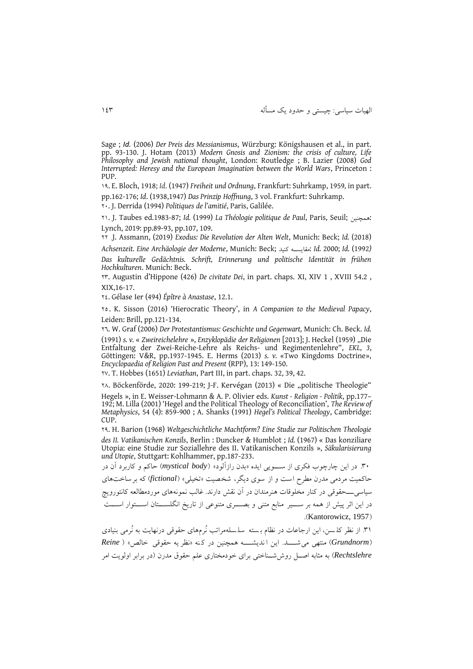الهیات سیاسی: چیستی و حدود يک مسأله 001

Sage ; *Id.* (2006) *Der Preis des Messianismus*, Würzburg: Königshausen et al., in part. pp. 93-130. J. Hotam (2013) *Modern Gnosis and Zionism: the crisis of culture, Life Philosophy and Jewish national thought*, London: Routledge ; B. Lazier (2008) *God Interrupted: Heresy and the European Imagination between the World Wars*, Princeton : PUP.

0۸. E. Bloch, 1918; *Id*. (1947) *Freiheit und Ordnung*, Frankfurt: Suhrkamp, 1959*,* in part. pp.162-176; *Id*. (1938,1947) *Das Prinzip Hoffnung*, 3 vol. Frankfurt: Suhrkamp.

21. J. Derrida (1994) *Politiques de l'amitié*, Paris, Galilée.

20. J. Taubes ed.1983-87; *Id.* (1999) *La Théologie politique de Paul*, Paris, Seuil; همچنین: Lynch, 2019: pp.89-93, pp.107, 109.

22 .J. Assmann, (2019) *Exodus: Die Revolution der Alten Welt*, Munich: Beck; *Id.* (2018)

*Achsenzeit. Eine Archäologie der Moderne*, Munich: Beck; کنید مقايســه: *Id.* 2000; *Id.* (1992*) Das kulturelle Gedächtnis. Schrift, Erinnerung und politische Identität in frühen Hochkulturen*. Munich: Beck.

21. Augustin d'Hippone (426) *De civitate Dei*, in part. chaps. XI, XIV 1 , XVIII 54.2 , XIX,16-17.

20. Gélase Ier (494) *Épître à Anastase*, 12.1.

21 . K. Sisson (2016) 'Hierocratic Theory', in *A Companion to the Medieval Papacy*, Leiden: Brill, pp.121-134.

21. W. Graf (2006) *Der Protestantismus: Geschichte und Gegenwart,* Munich: Ch. Beck. *Id.*  (1991) *s. v.* « *Zweireichelehre* », *Enzyklopädie der Religionen* [2013]; J. Heckel (1959) "Die Entfaltung der Zwei-Reiche-Lehre als Reichs- und Regimentenlehre", *EKL, 3*, Göttingen: V&R, pp.1937-1945. E. Herms (2013) *s. v.* «Two Kingdoms Doctrine», *Encyclopaedia of Religion Past and Present* (RPP), 13: 149-150.

2٨. T. Hobbes (1651) *Leviathan*, Part III, in part. chaps. 32, 39, 42.

2٧. Böckenförde, 2020: 199-219; J-F. Kervégan (2013) « Die "politische Theologie" Hegels », in E. Weisser-Lohmann & A. P. Olivier eds. *Kunst - Religion - Politik*, pp.177– 192; M. Lilla (2001) 'Hegel and the Political Theology of Reconciliation', *The Review of Metaphysics*, 54 (4): 859-900 ; A. Shanks (1991) *Hegel's Political Theology*, Cambridge: CUP.

2۸. H. Barion (1968) *Weltgeschichtliche Machtform? Eine Studie zur Politischen Theologie des II. Vatikanischen Konzils*, Berlin : Duncker & Humblot ; *Id.* (1967) « Das konziliare Utopia: eine Studie zur Soziallehre des II. Vatikanischen Konzils », *Säkularisierung und Utopie*, Stuttgart: Kohlhammer, pp.187-233.

.11 در اين چارچوب فکری از ســـويی ايده »بدن رازآلود « )*body mystical* )حاکم و کاربرد آن در حاکمیت مردمی مدرن مطرح است و از سوی ديگر، شخصیت »تخیلی« )*fictional* )که برساخت های سیاسیـــحقوقی در کنار مخلوقات هنرمندان در آن نقش دارند. غالب نمونههای موردمطالعه کانتوروي) در اين اثر پيش از همه بر ســـير منابع متنى و بصــــرى متنوعى از تاريخ انگلســـتان اســـتوار اســـت .(Kantorowicz, 1957)

.10 از نظر کل سن، اين ارجاعات در نظام ب سته سل سله مراتب نُرمهای حقوقی درنهايت به نُرمی بنیادی )*Grundnorm* )منتهی میشـــد. اين ا نديشـــه همچنین در ک نه »نظر يه حقوقی خالد « ) *Reine Rechtslehre* )به مثابه اصــل روششــناختی برای خودمختاری علم حقوق مدرن )در برابر اولويت امر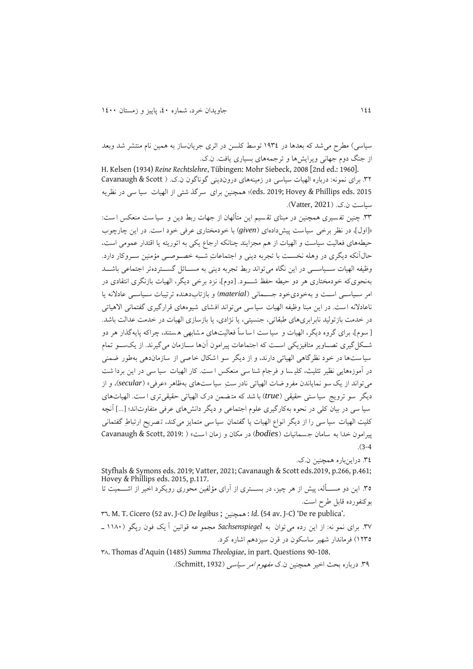سیاسی) مطرح می شد که بعدها در ۱۹۳۶ توسط کلسن در اثری جریان ساز به همین نام منتشر شد وبعد از جنگ دوم جهانی ويرايشها و ترجمههای بسیاری يافت. ن.ک.

H. Kelsen (1934) *Reine Rechtslehre*, Tübingen: Mohr Siebeck, 2008 [2nd ed.: 1960]. .12 برای نمونه: درباره الهیات سیاسی در زمینههای دروندينی گوناگون ن.ک. ) Scott & Cavanaugh eds. 2019; Hovey & Phillips eds. 2015)؛ همچنین برای سرگذ شتی از الهیات سیا سی در نظریه سیاست ن.ک. )2021 ,Vatter).

٣٣. چنین تفسیری همچنین در مبنای تقسیم این متألهان از جهات ربط دین و سیا ست منعکس ا ست: ».اولم، در نظر برخی سیاست پیش دادهای )*given* )با خودمختاری عرفی خود است. در اين چارچوب حیطههای فعالیت سیاست و الهیات از هم مجزايند چنانکه ارجاع يکی به اتوريته يا اقتدار عمومی است، حالآنکه ديگری در وهله نخسـت با تجربه دينی و اجتماعاتِ شـبه خصـوصـی مؤمنین سـروکار دارد. وظیفه الهیات ســیاســـی در این نگاه می تواند ربط تجربه دینی به مســـائل گســـتردهتر اجتماعی باشـــد به نحویکه خودمختاری هر دو حیطه حفظ شـــود. .دومم، نزد برخی ديگر، الهیات بازنگری انتقادی در امر سـیاسـی اسـت و بهخودیخود جسـمانی )*material* )و بازتابدهنده ترتیبات سـیاسـی عادالنه يا ناعادالنه است. در اين مبنا وظیفه الهیات سیاسی میتواند افشای شیوه های قرارگیری گفتمانی االهیاتی در خدمت بازتولید نابرابریهای طبقاتی، جنسیتی، يا نژادی، يا بازسازی الهیات در خدمت عدالت باشد. . سومم، برای گروه ديگر، الهیات و سیا ست ا سا ساً فعالیت های م شابهی ه ستند، چراکه پايه گذار هر دو شــکلگیری تصــاوير متافیزيکی اســت که اجتماعات پیرامون آنها ســازمان میگیرند. از يکســو تمام سیاست ها در خود نظرگاهی الهیاتی دارند، و از ديگر سو اشکال خاصی از سازمان دهی بهطور ضمنی در آموزههايی نظیر تثلیث، کلی سا و فرجام شنا سی منعکس ا ست . کار الهیات سیا سی در اين بردا ش ت میتواند از يک سو نماياندن مفرو ضات الهیاتی نادر ستِ سیا ست های بهظاهر »عرفی« )*secular*)، و از ديگر سو ترويج سیا ستی حقیقی ) *true* )با شد که مت ضمن درک الهیاتی حقیقیتری ا ست. الهیاتهای سیا سی در بیان کلی در نحوه به کارگیری علوم اجتماعی و دیگر دانشهای عرفی متفاوتاند؛ […] آنچه کلیت الهیات سیا سی را از ديگر انواع الهیات يا گفتمان سیا سی متمايز می کند، ت صري ارتباطِ گ فتمانی پیرامون خدا به سامان جسمانیات ) *bodies* )در مکان و زمان است « ) 2019: ,Scott & Cavanaugh  $(3-4)$ 

.10 دراينباره همچنین ن.ک.

Styfhals & Symons eds. 2019; Vatter, 2021; Cavanaugh & Scott eds.2019, p.266, p.461; Hovey & Phillips eds. 2015, p.117. .11 اين دو مســأله ، پیش از هر چیز، در بســتری از آرای مؤلفین محوری رويکرد اخیر از اشــمیت تا

بوکنفورده قابل طرح است.

<sup>11</sup>. M. T. Cicero (52 av. J-C) *De legibus* ; همچنین : *Id*. (54 av. J-C) 'De re publica'. .1٨ برای نمو نه: از اين رده میتوان به *Sachsenspiegel* مجمو عه قوانین آ يک فون رپگو ) 00٧1 ـ 0211( فرماندار شهیر ساسکون در قرن سیزدهم اشاره کرد.

1٧. Thomas d'Aquin (1485) *Summa Theologiae*, in part. Questions 90-108.

۳۹. درباره بحث اخیر همچنین ن.ک *مفهوم امر سیاسی* (Schmitt, 1932).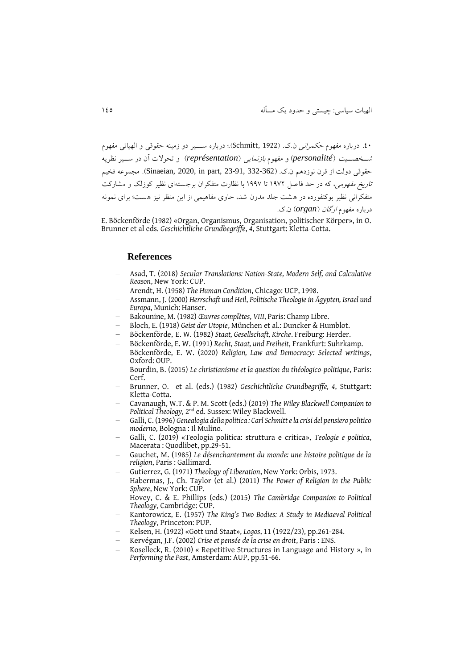.01 درباره مفهوم حکمرانی ن.ک. )1922 ,Schmitt).؛ درباره ســـیر دو زمینه حقوقی و الهیات ی مفهوم شــخصــیت )*personalité* )و مفهوم بازنمايی )*représentation* )و تحوالت آن در ســیر نظريه حقوقی دولت از قرن نوزدهم ن.ک. (332-362 Sinaeian, 2020, in part, 23-91, 332-362). مجموعه فخیم ت*اريخ مفهومي*، که در حد فاصل ١٩٧٢ تا ١٩٩٧ با نظارت متفکران برجستهای نظیر کوزلک و مشارکت متفکرانی نظیر بوکنفورده در هشت جلد مدون شد، حاوی مفاهیمی از این منظر نیز هست؛ برای نمونه درباره مفهوم ارگان )*organ* )ن.ک.

E. Böckenförde (1982) «Organ, Organismus, Organisation, politischer Körper», in O. Brunner et al eds. *Geschichtliche Grundbegriffe*, *4*, Stuttgart: Kletta-Cotta.

#### **References**

- Asad, T. (2018) *Secular Translations: Nation-State, Modern Self, and Calculative Reason*, New York: CUP.
- Arendt, H. (1958) *The Human Condition*, Chicago: UCP, 1998.
- Assmann, J. (2000) *Herrschaft und Heil*, *Politische Theologie in Ägypten, Israel und Europa*, Munich: Hanser.
- Bakounine, M. (1982) *Œuvres complètes*, *VIII*, Paris: Champ Libre.
- Bloch, E. (1918) *Geist der Utopie*, München et al.: Duncker & Humblot.
- Böckenförde, E. W. (1982) *Staat, Gesellschaft, Kirche*. Freiburg: Herder.
- Böckenförde, E. W. (1991) *Recht, Staat, und Freiheit*, Frankfurt: Suhrkamp.
- Böckenförde, E. W. (2020) *Religion, Law and Democracy: Selected writings*, Oxford: OUP.
- Bourdin, B. (2015) *Le christianisme et la question du théologico-politique*, Paris: Cerf.
- Brunner, O. et al. (eds.) (1982) *Geschichtliche Grundbegriffe, 4*, Stuttgart: Kletta-Cotta.
- Cavanaugh, W.T. & P. M. Scott (eds.) (2019) *The Wiley Blackwell Companion to*  Political Theology, 2<sup>nd</sup> ed. Sussex: Wiley Blackwell.
- Galli, C. (1996) *Genealogia della politica : Carl Schmitt e la crisi del pensiero politico moderno*, Bologna : Il Mulino.
- Galli, C. (2019) «Teologia politica: struttura e critica», *Teologie e politica*, Macerata : Quodlibet, pp.29-51.
- Gauchet, M. (1985) *Le désenchantement du monde: une histoire politique de la religion*, Paris : Gallimard.
- Gutierrez, G. (1971) *Theology of Liberation*, New York: Orbis, 1973.
- Habermas, J., Ch. Taylor (et al.) (2011) *The Power of Religion in the Public Sphere*, New York: CUP.
- Hovey, C. & E. Phillips (eds.) (2015) *The Cambridge Companion to Political Theology*, Cambridge: CUP.
- Kantorowicz, E. (1957) *The King's Two Bodies: A Study in Mediaeval Political Theology*, Princeton: PUP.
- Kelsen, H. (1922) «Gott und Staat», *Logos*, 11 (1922/23), pp.261-284.
- Kervégan, J.F. (2002) *Crise et pensée de la crise en droit*, Paris : ENS.
- Koselleck, R. (2010) « Repetitive Structures in Language and History », in *Performing the Past*, Amsterdam: AUP, pp.51-66.